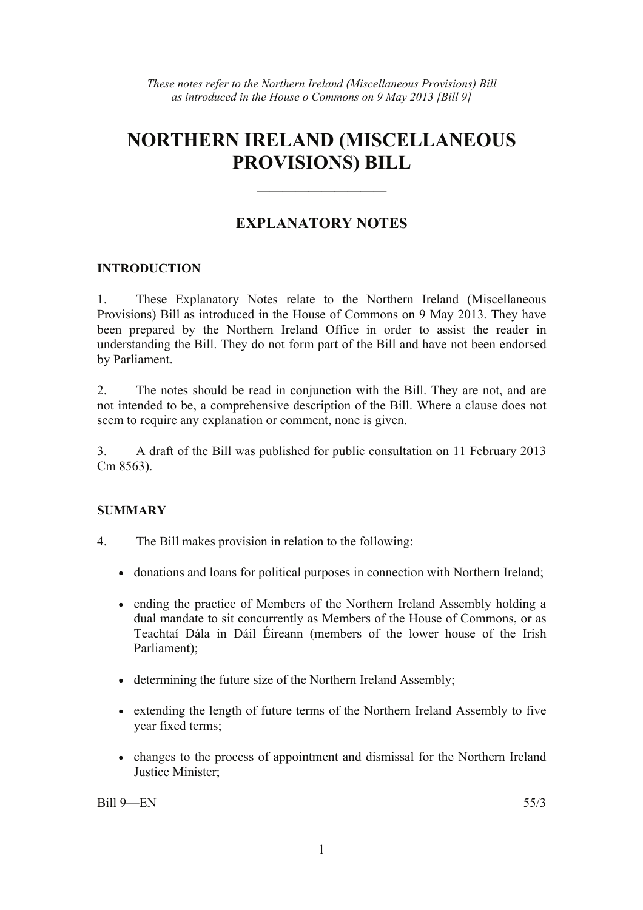# **NORTHERN IRELAND (MISCELLANEOUS PROVISIONS) BILL**

# **EXPLANATORY NOTES**

——————————

#### **INTRODUCTION**

1. These Explanatory Notes relate to the Northern Ireland (Miscellaneous Provisions) Bill as introduced in the House of Commons on 9 May 2013. They have been prepared by the Northern Ireland Office in order to assist the reader in understanding the Bill. They do not form part of the Bill and have not been endorsed by Parliament.

2. The notes should be read in conjunction with the Bill. They are not, and are not intended to be, a comprehensive description of the Bill. Where a clause does not seem to require any explanation or comment, none is given.

3. A draft of the Bill was published for public consultation on 11 February 2013 Cm 8563).

#### **SUMMARY**

- 4. The Bill makes provision in relation to the following:
	- donations and loans for political purposes in connection with Northern Ireland;
	- ending the practice of Members of the Northern Ireland Assembly holding a dual mandate to sit concurrently as Members of the House of Commons, or as Teachtaí Dála in Dáil Éireann (members of the lower house of the Irish Parliament);
	- determining the future size of the Northern Ireland Assembly;
	- extending the length of future terms of the Northern Ireland Assembly to five year fixed terms;
	- changes to the process of appointment and dismissal for the Northern Ireland Justice Minister;

Bill 9—EN 55/3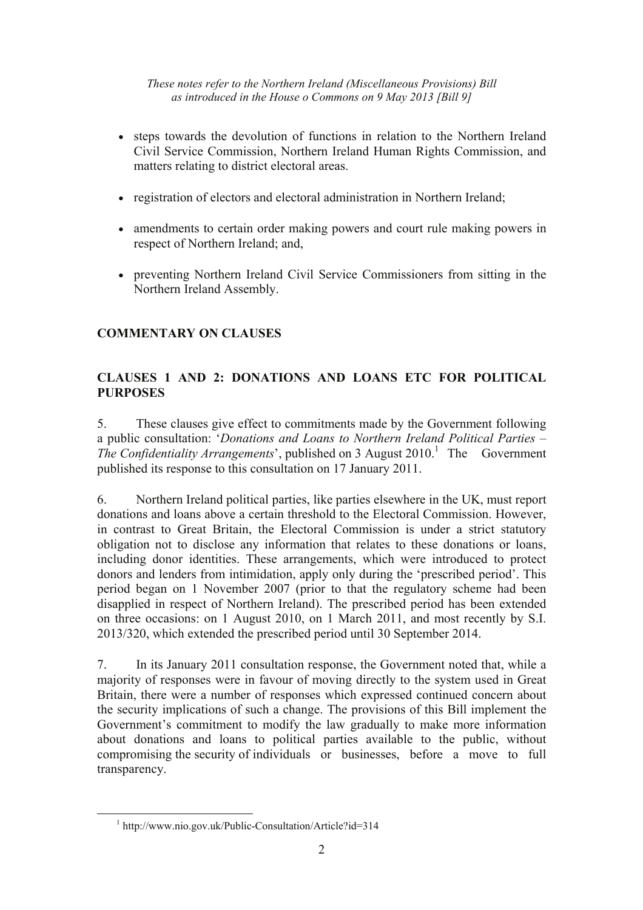- steps towards the devolution of functions in relation to the Northern Ireland Civil Service Commission, Northern Ireland Human Rights Commission, and matters relating to district electoral areas.
- registration of electors and electoral administration in Northern Ireland;
- amendments to certain order making powers and court rule making powers in respect of Northern Ireland; and,
- preventing Northern Ireland Civil Service Commissioners from sitting in the Northern Ireland Assembly.

# **COMMENTARY ON CLAUSES**

# **CLAUSES 1 AND 2: DONATIONS AND LOANS ETC FOR POLITICAL PURPOSES**

5. These clauses give effect to commitments made by the Government following a public consultation: '*Donations and Loans to Northern Ireland Political Parties – The Confidentiality Arrangements*', published on 3 August 2010.<sup>1</sup> The Government published its response to this consultation on 17 January 2011.

6. Northern Ireland political parties, like parties elsewhere in the UK, must report donations and loans above a certain threshold to the Electoral Commission. However, in contrast to Great Britain, the Electoral Commission is under a strict statutory obligation not to disclose any information that relates to these donations or loans, including donor identities. These arrangements, which were introduced to protect donors and lenders from intimidation, apply only during the 'prescribed period'. This period began on 1 November 2007 (prior to that the regulatory scheme had been disapplied in respect of Northern Ireland). The prescribed period has been extended on three occasions: on 1 August 2010, on 1 March 2011, and most recently by S.I. 2013/320, which extended the prescribed period until 30 September 2014.

7. In its January 2011 consultation response, the Government noted that, while a majority of responses were in favour of moving directly to the system used in Great Britain, there were a number of responses which expressed continued concern about the security implications of such a change. The provisions of this Bill implement the Government's commitment to modify the law gradually to make more information about donations and loans to political parties available to the public, without compromising the security of individuals or businesses, before a move to full transparency.

 <sup>1</sup> <sup>1</sup> http://www.nio.gov.uk/Public-Consultation/Article?id=314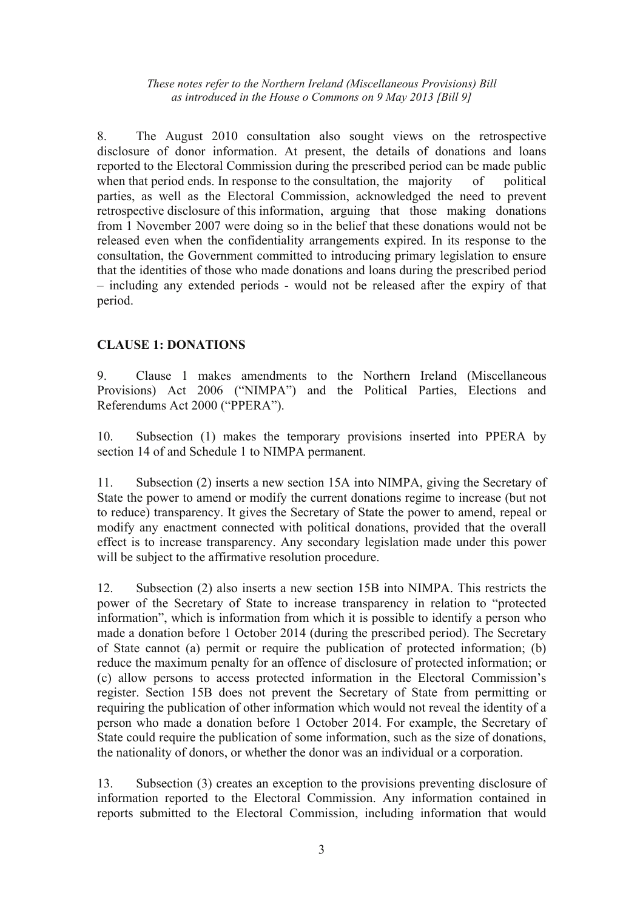8. The August 2010 consultation also sought views on the retrospective disclosure of donor information. At present, the details of donations and loans reported to the Electoral Commission during the prescribed period can be made public when that period ends. In response to the consultation, the majority of political parties, as well as the Electoral Commission, acknowledged the need to prevent retrospective disclosure of this information, arguing that those making donations from 1 November 2007 were doing so in the belief that these donations would not be released even when the confidentiality arrangements expired. In its response to the consultation, the Government committed to introducing primary legislation to ensure that the identities of those who made donations and loans during the prescribed period – including any extended periods - would not be released after the expiry of that period.

## **CLAUSE 1: DONATIONS**

9. Clause 1 makes amendments to the Northern Ireland (Miscellaneous Provisions) Act 2006 ("NIMPA") and the Political Parties, Elections and Referendums Act 2000 ("PPERA").

10. Subsection (1) makes the temporary provisions inserted into PPERA by section 14 of and Schedule 1 to NIMPA permanent.

11. Subsection (2) inserts a new section 15A into NIMPA, giving the Secretary of State the power to amend or modify the current donations regime to increase (but not to reduce) transparency. It gives the Secretary of State the power to amend, repeal or modify any enactment connected with political donations, provided that the overall effect is to increase transparency. Any secondary legislation made under this power will be subject to the affirmative resolution procedure.

12. Subsection (2) also inserts a new section 15B into NIMPA. This restricts the power of the Secretary of State to increase transparency in relation to "protected information", which is information from which it is possible to identify a person who made a donation before 1 October 2014 (during the prescribed period). The Secretary of State cannot (a) permit or require the publication of protected information; (b) reduce the maximum penalty for an offence of disclosure of protected information; or (c) allow persons to access protected information in the Electoral Commission's register. Section 15B does not prevent the Secretary of State from permitting or requiring the publication of other information which would not reveal the identity of a person who made a donation before 1 October 2014. For example, the Secretary of State could require the publication of some information, such as the size of donations, the nationality of donors, or whether the donor was an individual or a corporation.

13. Subsection (3) creates an exception to the provisions preventing disclosure of information reported to the Electoral Commission. Any information contained in reports submitted to the Electoral Commission, including information that would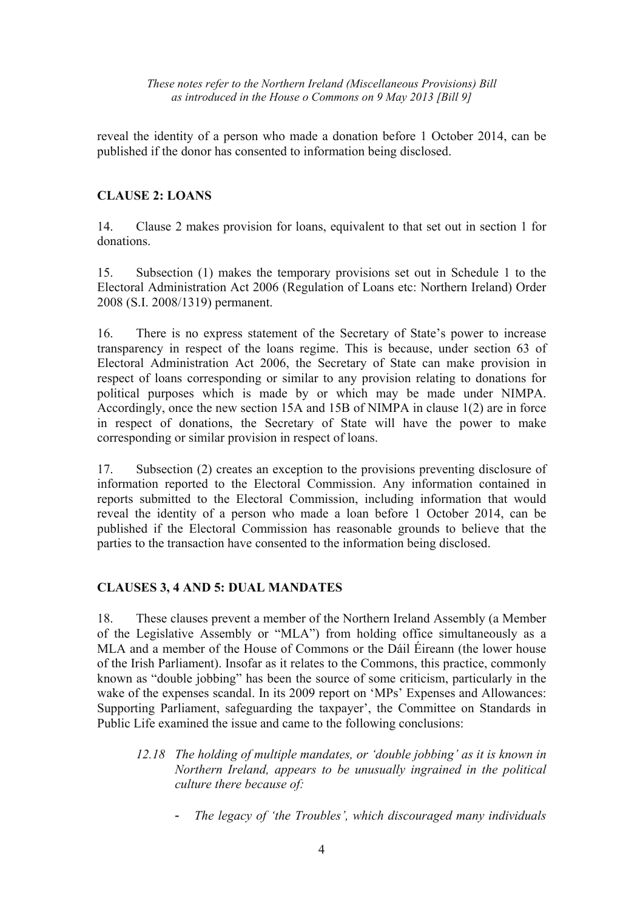reveal the identity of a person who made a donation before 1 October 2014, can be published if the donor has consented to information being disclosed.

## **CLAUSE 2: LOANS**

14. Clause 2 makes provision for loans, equivalent to that set out in section 1 for donations.

15. Subsection (1) makes the temporary provisions set out in Schedule 1 to the Electoral Administration Act 2006 (Regulation of Loans etc: Northern Ireland) Order 2008 (S.I. 2008/1319) permanent.

16. There is no express statement of the Secretary of State's power to increase transparency in respect of the loans regime. This is because, under section 63 of Electoral Administration Act 2006, the Secretary of State can make provision in respect of loans corresponding or similar to any provision relating to donations for political purposes which is made by or which may be made under NIMPA. Accordingly, once the new section 15A and 15B of NIMPA in clause 1(2) are in force in respect of donations, the Secretary of State will have the power to make corresponding or similar provision in respect of loans.

17. Subsection (2) creates an exception to the provisions preventing disclosure of information reported to the Electoral Commission. Any information contained in reports submitted to the Electoral Commission, including information that would reveal the identity of a person who made a loan before 1 October 2014, can be published if the Electoral Commission has reasonable grounds to believe that the parties to the transaction have consented to the information being disclosed.

#### **CLAUSES 3, 4 AND 5: DUAL MANDATES**

18. These clauses prevent a member of the Northern Ireland Assembly (a Member of the Legislative Assembly or "MLA") from holding office simultaneously as a MLA and a member of the House of Commons or the Dáil Éireann (the lower house of the Irish Parliament). Insofar as it relates to the Commons, this practice, commonly known as "double jobbing" has been the source of some criticism, particularly in the wake of the expenses scandal. In its 2009 report on 'MPs' Expenses and Allowances: Supporting Parliament, safeguarding the taxpayer', the Committee on Standards in Public Life examined the issue and came to the following conclusions:

- *12.18 The holding of multiple mandates, or 'double jobbing' as it is known in Northern Ireland, appears to be unusually ingrained in the political culture there because of:* 
	- *The legacy of 'the Troubles', which discouraged many individuals*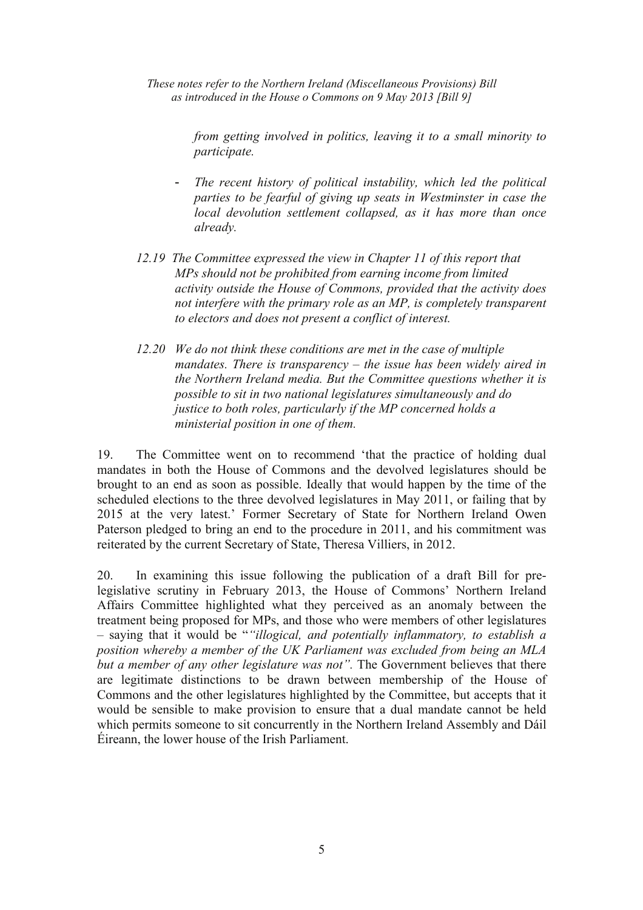> *from getting involved in politics, leaving it to a small minority to participate.*

- *The recent history of political instability, which led the political parties to be fearful of giving up seats in Westminster in case the local devolution settlement collapsed, as it has more than once already.*
- *12.19 The Committee expressed the view in Chapter 11 of this report that MPs should not be prohibited from earning income from limited activity outside the House of Commons, provided that the activity does not interfere with the primary role as an MP, is completely transparent to electors and does not present a conflict of interest.*
- *12.20 We do not think these conditions are met in the case of multiple mandates. There is transparency – the issue has been widely aired in the Northern Ireland media. But the Committee questions whether it is possible to sit in two national legislatures simultaneously and do justice to both roles, particularly if the MP concerned holds a ministerial position in one of them.*

19. The Committee went on to recommend 'that the practice of holding dual mandates in both the House of Commons and the devolved legislatures should be brought to an end as soon as possible. Ideally that would happen by the time of the scheduled elections to the three devolved legislatures in May 2011, or failing that by 2015 at the very latest.' Former Secretary of State for Northern Ireland Owen Paterson pledged to bring an end to the procedure in 2011, and his commitment was reiterated by the current Secretary of State, Theresa Villiers, in 2012.

20. In examining this issue following the publication of a draft Bill for prelegislative scrutiny in February 2013, the House of Commons' Northern Ireland Affairs Committee highlighted what they perceived as an anomaly between the treatment being proposed for MPs, and those who were members of other legislatures – saying that it would be "*"illogical, and potentially inflammatory, to establish a position whereby a member of the UK Parliament was excluded from being an MLA but a member of any other legislature was not"*. The Government believes that there are legitimate distinctions to be drawn between membership of the House of Commons and the other legislatures highlighted by the Committee, but accepts that it would be sensible to make provision to ensure that a dual mandate cannot be held which permits someone to sit concurrently in the Northern Ireland Assembly and Dáil Éireann, the lower house of the Irish Parliament.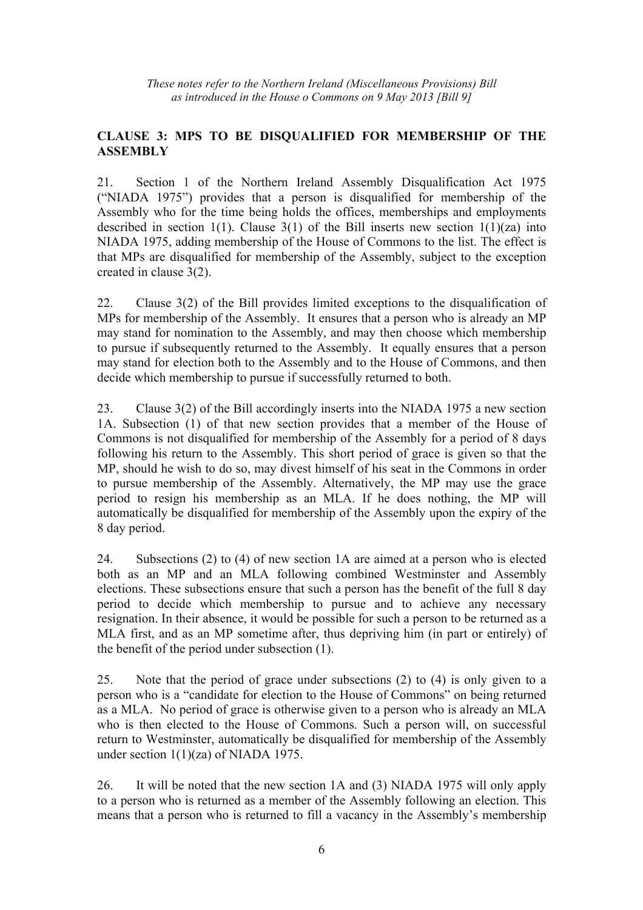## **CLAUSE 3: MPS TO BE DISQUALIFIED FOR MEMBERSHIP OF THE ASSEMBLY**

21. Section 1 of the Northern Ireland Assembly Disqualification Act 1975 ("NIADA 1975") provides that a person is disqualified for membership of the Assembly who for the time being holds the offices, memberships and employments described in section 1(1). Clause 3(1) of the Bill inserts new section  $1(1)(za)$  into NIADA 1975, adding membership of the House of Commons to the list. The effect is that MPs are disqualified for membership of the Assembly, subject to the exception created in clause 3(2).

22. Clause 3(2) of the Bill provides limited exceptions to the disqualification of MPs for membership of the Assembly. It ensures that a person who is already an MP may stand for nomination to the Assembly, and may then choose which membership to pursue if subsequently returned to the Assembly. It equally ensures that a person may stand for election both to the Assembly and to the House of Commons, and then decide which membership to pursue if successfully returned to both.

23. Clause 3(2) of the Bill accordingly inserts into the NIADA 1975 a new section 1A. Subsection (1) of that new section provides that a member of the House of Commons is not disqualified for membership of the Assembly for a period of 8 days following his return to the Assembly. This short period of grace is given so that the MP, should he wish to do so, may divest himself of his seat in the Commons in order to pursue membership of the Assembly. Alternatively, the MP may use the grace period to resign his membership as an MLA. If he does nothing, the MP will automatically be disqualified for membership of the Assembly upon the expiry of the 8 day period.

24. Subsections (2) to (4) of new section 1A are aimed at a person who is elected both as an MP and an MLA following combined Westminster and Assembly elections. These subsections ensure that such a person has the benefit of the full 8 day period to decide which membership to pursue and to achieve any necessary resignation. In their absence, it would be possible for such a person to be returned as a MLA first, and as an MP sometime after, thus depriving him (in part or entirely) of the benefit of the period under subsection (1).

25. Note that the period of grace under subsections (2) to (4) is only given to a person who is a "candidate for election to the House of Commons" on being returned as a MLA. No period of grace is otherwise given to a person who is already an MLA who is then elected to the House of Commons. Such a person will, on successful return to Westminster, automatically be disqualified for membership of the Assembly under section 1(1)(za) of NIADA 1975.

26. It will be noted that the new section 1A and (3) NIADA 1975 will only apply to a person who is returned as a member of the Assembly following an election. This means that a person who is returned to fill a vacancy in the Assembly's membership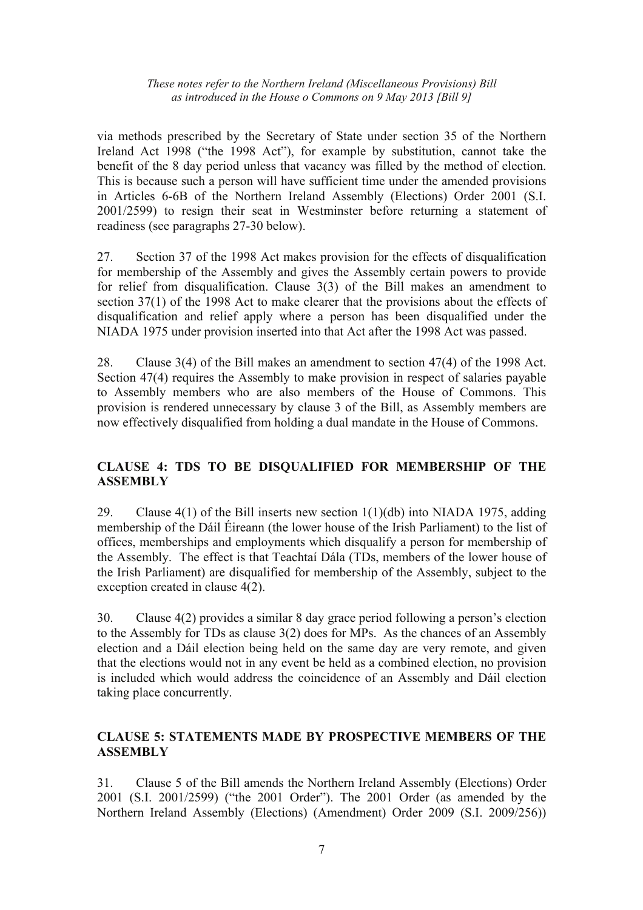via methods prescribed by the Secretary of State under section 35 of the Northern Ireland Act 1998 ("the 1998 Act"), for example by substitution, cannot take the benefit of the 8 day period unless that vacancy was filled by the method of election. This is because such a person will have sufficient time under the amended provisions in Articles 6-6B of the Northern Ireland Assembly (Elections) Order 2001 (S.I. 2001/2599) to resign their seat in Westminster before returning a statement of readiness (see paragraphs 27-30 below).

27. Section 37 of the 1998 Act makes provision for the effects of disqualification for membership of the Assembly and gives the Assembly certain powers to provide for relief from disqualification. Clause 3(3) of the Bill makes an amendment to section 37(1) of the 1998 Act to make clearer that the provisions about the effects of disqualification and relief apply where a person has been disqualified under the NIADA 1975 under provision inserted into that Act after the 1998 Act was passed.

28. Clause 3(4) of the Bill makes an amendment to section 47(4) of the 1998 Act. Section 47(4) requires the Assembly to make provision in respect of salaries payable to Assembly members who are also members of the House of Commons. This provision is rendered unnecessary by clause 3 of the Bill, as Assembly members are now effectively disqualified from holding a dual mandate in the House of Commons.

## **CLAUSE 4: TDS TO BE DISQUALIFIED FOR MEMBERSHIP OF THE ASSEMBLY**

29. Clause  $4(1)$  of the Bill inserts new section  $1(1)(db)$  into NIADA 1975, adding membership of the Dáil Éireann (the lower house of the Irish Parliament) to the list of offices, memberships and employments which disqualify a person for membership of the Assembly. The effect is that Teachtaí Dála (TDs, members of the lower house of the Irish Parliament) are disqualified for membership of the Assembly, subject to the exception created in clause 4(2).

30. Clause 4(2) provides a similar 8 day grace period following a person's election to the Assembly for TDs as clause 3(2) does for MPs. As the chances of an Assembly election and a Dáil election being held on the same day are very remote, and given that the elections would not in any event be held as a combined election, no provision is included which would address the coincidence of an Assembly and Dáil election taking place concurrently.

## **CLAUSE 5: STATEMENTS MADE BY PROSPECTIVE MEMBERS OF THE ASSEMBLY**

31. Clause 5 of the Bill amends the Northern Ireland Assembly (Elections) Order 2001 (S.I. 2001/2599) ("the 2001 Order"). The 2001 Order (as amended by the Northern Ireland Assembly (Elections) (Amendment) Order 2009 (S.I. 2009/256))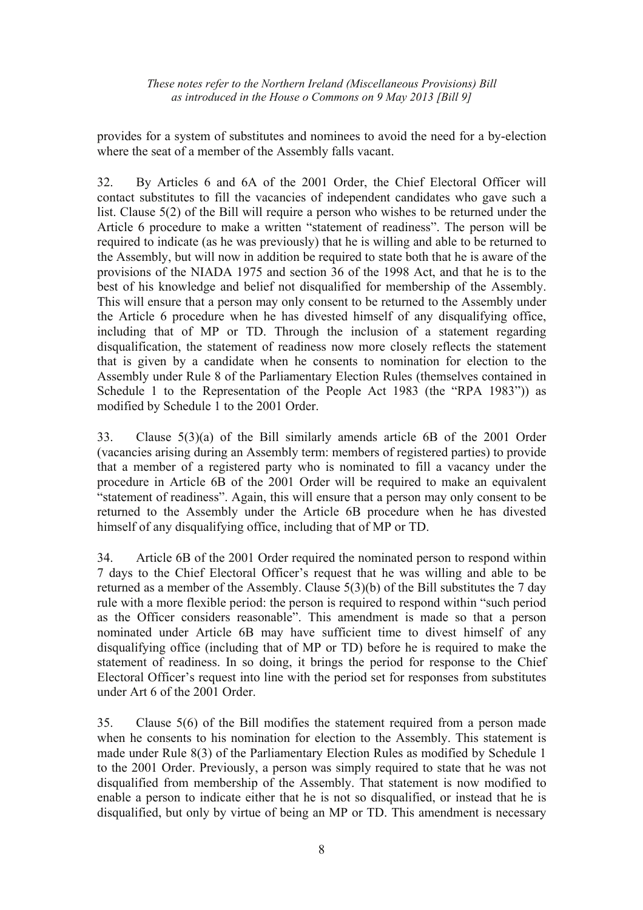provides for a system of substitutes and nominees to avoid the need for a by-election where the seat of a member of the Assembly falls vacant.

32. By Articles 6 and 6A of the 2001 Order, the Chief Electoral Officer will contact substitutes to fill the vacancies of independent candidates who gave such a list. Clause 5(2) of the Bill will require a person who wishes to be returned under the Article 6 procedure to make a written "statement of readiness". The person will be required to indicate (as he was previously) that he is willing and able to be returned to the Assembly, but will now in addition be required to state both that he is aware of the provisions of the NIADA 1975 and section 36 of the 1998 Act, and that he is to the best of his knowledge and belief not disqualified for membership of the Assembly. This will ensure that a person may only consent to be returned to the Assembly under the Article 6 procedure when he has divested himself of any disqualifying office, including that of MP or TD. Through the inclusion of a statement regarding disqualification, the statement of readiness now more closely reflects the statement that is given by a candidate when he consents to nomination for election to the Assembly under Rule 8 of the Parliamentary Election Rules (themselves contained in Schedule 1 to the Representation of the People Act 1983 (the "RPA 1983")) as modified by Schedule 1 to the 2001 Order.

33. Clause 5(3)(a) of the Bill similarly amends article 6B of the 2001 Order (vacancies arising during an Assembly term: members of registered parties) to provide that a member of a registered party who is nominated to fill a vacancy under the procedure in Article 6B of the 2001 Order will be required to make an equivalent "statement of readiness". Again, this will ensure that a person may only consent to be returned to the Assembly under the Article 6B procedure when he has divested himself of any disqualifying office, including that of MP or TD.

34. Article 6B of the 2001 Order required the nominated person to respond within 7 days to the Chief Electoral Officer's request that he was willing and able to be returned as a member of the Assembly. Clause 5(3)(b) of the Bill substitutes the 7 day rule with a more flexible period: the person is required to respond within "such period as the Officer considers reasonable". This amendment is made so that a person nominated under Article 6B may have sufficient time to divest himself of any disqualifying office (including that of MP or TD) before he is required to make the statement of readiness. In so doing, it brings the period for response to the Chief Electoral Officer's request into line with the period set for responses from substitutes under Art 6 of the 2001 Order.

35. Clause 5(6) of the Bill modifies the statement required from a person made when he consents to his nomination for election to the Assembly. This statement is made under Rule 8(3) of the Parliamentary Election Rules as modified by Schedule 1 to the 2001 Order. Previously, a person was simply required to state that he was not disqualified from membership of the Assembly. That statement is now modified to enable a person to indicate either that he is not so disqualified, or instead that he is disqualified, but only by virtue of being an MP or TD. This amendment is necessary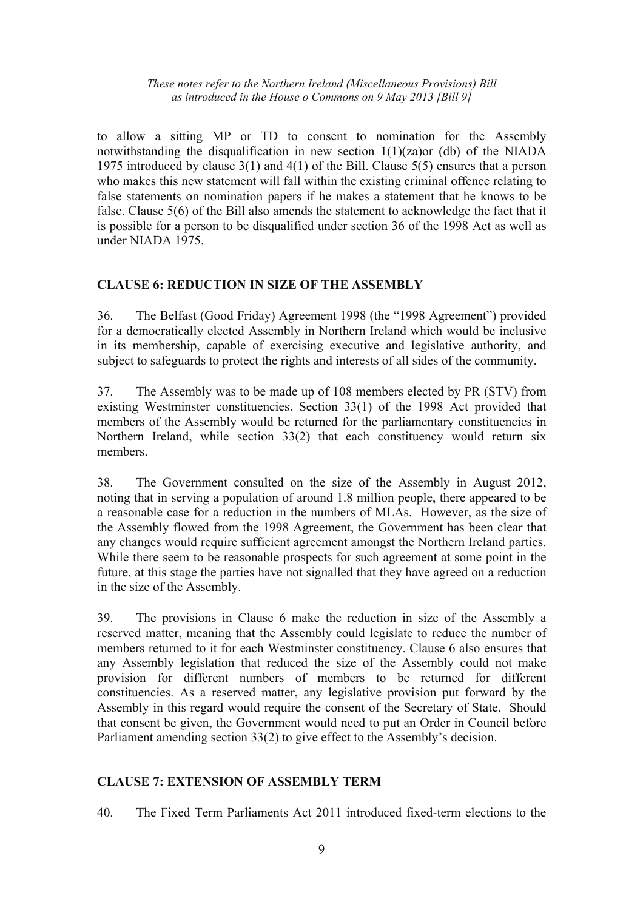to allow a sitting MP or TD to consent to nomination for the Assembly notwithstanding the disqualification in new section 1(1)(za)or (db) of the NIADA 1975 introduced by clause 3(1) and 4(1) of the Bill. Clause 5(5) ensures that a person who makes this new statement will fall within the existing criminal offence relating to false statements on nomination papers if he makes a statement that he knows to be false. Clause 5(6) of the Bill also amends the statement to acknowledge the fact that it is possible for a person to be disqualified under section 36 of the 1998 Act as well as under NIADA 1975.

## **CLAUSE 6: REDUCTION IN SIZE OF THE ASSEMBLY**

36. The Belfast (Good Friday) Agreement 1998 (the "1998 Agreement") provided for a democratically elected Assembly in Northern Ireland which would be inclusive in its membership, capable of exercising executive and legislative authority, and subject to safeguards to protect the rights and interests of all sides of the community.

37. The Assembly was to be made up of 108 members elected by PR (STV) from existing Westminster constituencies. Section 33(1) of the 1998 Act provided that members of the Assembly would be returned for the parliamentary constituencies in Northern Ireland, while section 33(2) that each constituency would return six members.

38. The Government consulted on the size of the Assembly in August 2012, noting that in serving a population of around 1.8 million people, there appeared to be a reasonable case for a reduction in the numbers of MLAs. However, as the size of the Assembly flowed from the 1998 Agreement, the Government has been clear that any changes would require sufficient agreement amongst the Northern Ireland parties. While there seem to be reasonable prospects for such agreement at some point in the future, at this stage the parties have not signalled that they have agreed on a reduction in the size of the Assembly.

39. The provisions in Clause 6 make the reduction in size of the Assembly a reserved matter, meaning that the Assembly could legislate to reduce the number of members returned to it for each Westminster constituency. Clause 6 also ensures that any Assembly legislation that reduced the size of the Assembly could not make provision for different numbers of members to be returned for different constituencies. As a reserved matter, any legislative provision put forward by the Assembly in this regard would require the consent of the Secretary of State. Should that consent be given, the Government would need to put an Order in Council before Parliament amending section 33(2) to give effect to the Assembly's decision.

## **CLAUSE 7: EXTENSION OF ASSEMBLY TERM**

40. The Fixed Term Parliaments Act 2011 introduced fixed-term elections to the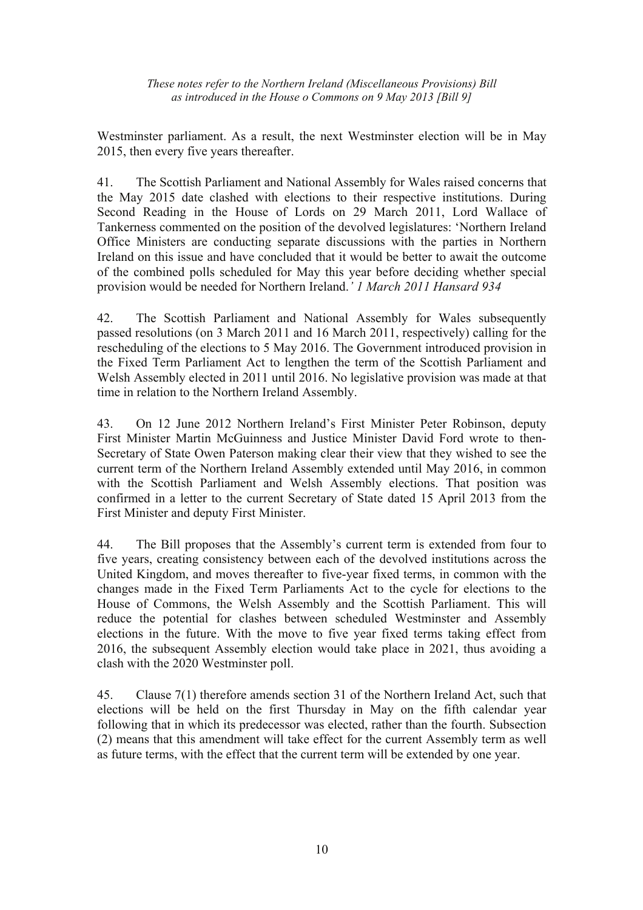Westminster parliament. As a result, the next Westminster election will be in May 2015, then every five years thereafter.

41. The Scottish Parliament and National Assembly for Wales raised concerns that the May 2015 date clashed with elections to their respective institutions. During Second Reading in the House of Lords on 29 March 2011, Lord Wallace of Tankerness commented on the position of the devolved legislatures: 'Northern Ireland Office Ministers are conducting separate discussions with the parties in Northern Ireland on this issue and have concluded that it would be better to await the outcome of the combined polls scheduled for May this year before deciding whether special provision would be needed for Northern Ireland.*' 1 March 2011 Hansard 934*

42. The Scottish Parliament and National Assembly for Wales subsequently passed resolutions (on 3 March 2011 and 16 March 2011, respectively) calling for the rescheduling of the elections to 5 May 2016. The Government introduced provision in the Fixed Term Parliament Act to lengthen the term of the Scottish Parliament and Welsh Assembly elected in 2011 until 2016. No legislative provision was made at that time in relation to the Northern Ireland Assembly.

43. On 12 June 2012 Northern Ireland's First Minister Peter Robinson, deputy First Minister Martin McGuinness and Justice Minister David Ford wrote to then-Secretary of State Owen Paterson making clear their view that they wished to see the current term of the Northern Ireland Assembly extended until May 2016, in common with the Scottish Parliament and Welsh Assembly elections. That position was confirmed in a letter to the current Secretary of State dated 15 April 2013 from the First Minister and deputy First Minister.

44. The Bill proposes that the Assembly's current term is extended from four to five years, creating consistency between each of the devolved institutions across the United Kingdom, and moves thereafter to five-year fixed terms, in common with the changes made in the Fixed Term Parliaments Act to the cycle for elections to the House of Commons, the Welsh Assembly and the Scottish Parliament. This will reduce the potential for clashes between scheduled Westminster and Assembly elections in the future. With the move to five year fixed terms taking effect from 2016, the subsequent Assembly election would take place in 2021, thus avoiding a clash with the 2020 Westminster poll.

45. Clause 7(1) therefore amends section 31 of the Northern Ireland Act, such that elections will be held on the first Thursday in May on the fifth calendar year following that in which its predecessor was elected, rather than the fourth. Subsection (2) means that this amendment will take effect for the current Assembly term as well as future terms, with the effect that the current term will be extended by one year.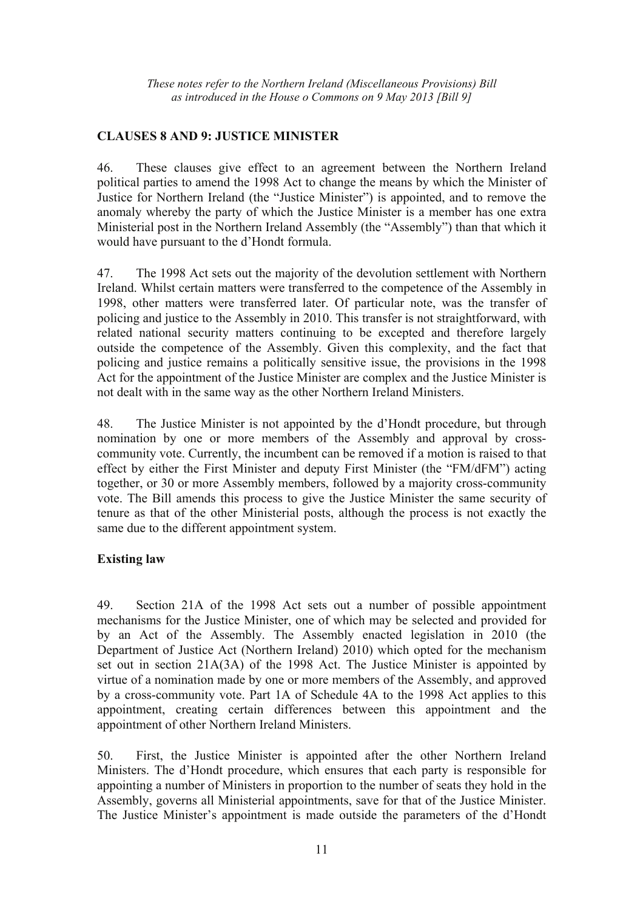## **CLAUSES 8 AND 9: JUSTICE MINISTER**

46. These clauses give effect to an agreement between the Northern Ireland political parties to amend the 1998 Act to change the means by which the Minister of Justice for Northern Ireland (the "Justice Minister") is appointed, and to remove the anomaly whereby the party of which the Justice Minister is a member has one extra Ministerial post in the Northern Ireland Assembly (the "Assembly") than that which it would have pursuant to the d'Hondt formula.

47. The 1998 Act sets out the majority of the devolution settlement with Northern Ireland. Whilst certain matters were transferred to the competence of the Assembly in 1998, other matters were transferred later. Of particular note, was the transfer of policing and justice to the Assembly in 2010. This transfer is not straightforward, with related national security matters continuing to be excepted and therefore largely outside the competence of the Assembly. Given this complexity, and the fact that policing and justice remains a politically sensitive issue, the provisions in the 1998 Act for the appointment of the Justice Minister are complex and the Justice Minister is not dealt with in the same way as the other Northern Ireland Ministers.

48. The Justice Minister is not appointed by the d'Hondt procedure, but through nomination by one or more members of the Assembly and approval by crosscommunity vote. Currently, the incumbent can be removed if a motion is raised to that effect by either the First Minister and deputy First Minister (the "FM/dFM") acting together, or 30 or more Assembly members, followed by a majority cross-community vote. The Bill amends this process to give the Justice Minister the same security of tenure as that of the other Ministerial posts, although the process is not exactly the same due to the different appointment system.

## **Existing law**

49. Section 21A of the 1998 Act sets out a number of possible appointment mechanisms for the Justice Minister, one of which may be selected and provided for by an Act of the Assembly. The Assembly enacted legislation in 2010 (the Department of Justice Act (Northern Ireland) 2010) which opted for the mechanism set out in section 21A(3A) of the 1998 Act. The Justice Minister is appointed by virtue of a nomination made by one or more members of the Assembly, and approved by a cross-community vote. Part 1A of Schedule 4A to the 1998 Act applies to this appointment, creating certain differences between this appointment and the appointment of other Northern Ireland Ministers.

50. First, the Justice Minister is appointed after the other Northern Ireland Ministers. The d'Hondt procedure, which ensures that each party is responsible for appointing a number of Ministers in proportion to the number of seats they hold in the Assembly, governs all Ministerial appointments, save for that of the Justice Minister. The Justice Minister's appointment is made outside the parameters of the d'Hondt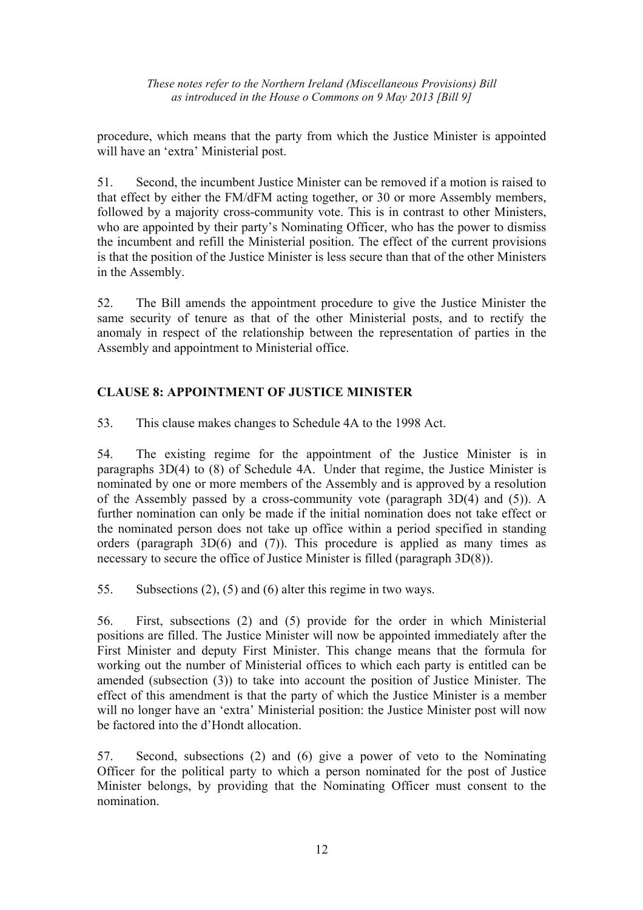procedure, which means that the party from which the Justice Minister is appointed will have an 'extra' Ministerial post.

51. Second, the incumbent Justice Minister can be removed if a motion is raised to that effect by either the FM/dFM acting together, or 30 or more Assembly members, followed by a majority cross-community vote. This is in contrast to other Ministers, who are appointed by their party's Nominating Officer, who has the power to dismiss the incumbent and refill the Ministerial position. The effect of the current provisions is that the position of the Justice Minister is less secure than that of the other Ministers in the Assembly.

52. The Bill amends the appointment procedure to give the Justice Minister the same security of tenure as that of the other Ministerial posts, and to rectify the anomaly in respect of the relationship between the representation of parties in the Assembly and appointment to Ministerial office.

# **CLAUSE 8: APPOINTMENT OF JUSTICE MINISTER**

53. This clause makes changes to Schedule 4A to the 1998 Act.

54. The existing regime for the appointment of the Justice Minister is in paragraphs 3D(4) to (8) of Schedule 4A. Under that regime, the Justice Minister is nominated by one or more members of the Assembly and is approved by a resolution of the Assembly passed by a cross-community vote (paragraph 3D(4) and (5)). A further nomination can only be made if the initial nomination does not take effect or the nominated person does not take up office within a period specified in standing orders (paragraph 3D(6) and (7)). This procedure is applied as many times as necessary to secure the office of Justice Minister is filled (paragraph 3D(8)).

55. Subsections (2), (5) and (6) alter this regime in two ways.

56. First, subsections (2) and (5) provide for the order in which Ministerial positions are filled. The Justice Minister will now be appointed immediately after the First Minister and deputy First Minister. This change means that the formula for working out the number of Ministerial offices to which each party is entitled can be amended (subsection (3)) to take into account the position of Justice Minister. The effect of this amendment is that the party of which the Justice Minister is a member will no longer have an 'extra' Ministerial position: the Justice Minister post will now be factored into the d'Hondt allocation.

57. Second, subsections (2) and (6) give a power of veto to the Nominating Officer for the political party to which a person nominated for the post of Justice Minister belongs, by providing that the Nominating Officer must consent to the nomination.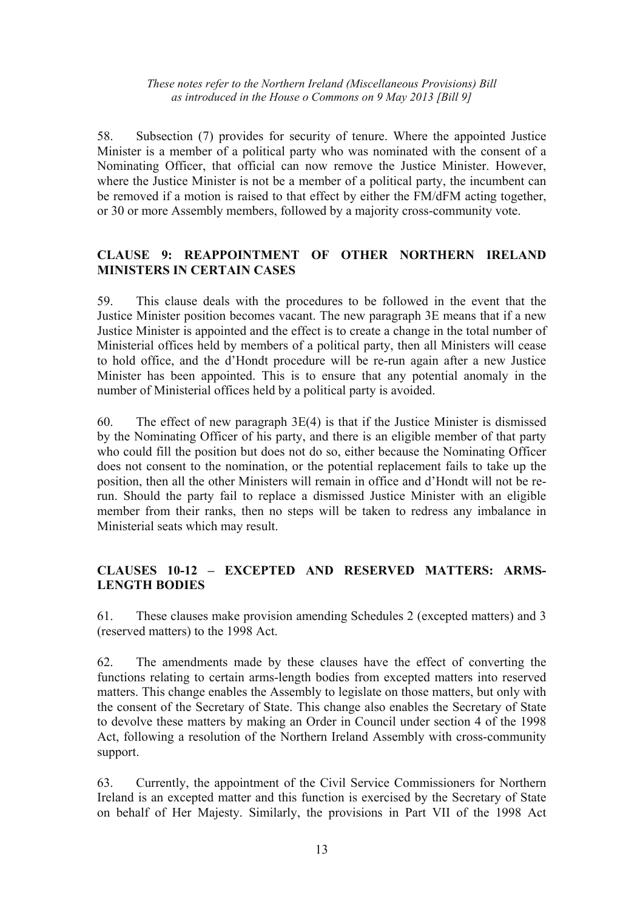58. Subsection (7) provides for security of tenure. Where the appointed Justice Minister is a member of a political party who was nominated with the consent of a Nominating Officer, that official can now remove the Justice Minister. However, where the Justice Minister is not be a member of a political party, the incumbent can be removed if a motion is raised to that effect by either the FM/dFM acting together, or 30 or more Assembly members, followed by a majority cross-community vote.

## **CLAUSE 9: REAPPOINTMENT OF OTHER NORTHERN IRELAND MINISTERS IN CERTAIN CASES**

59. This clause deals with the procedures to be followed in the event that the Justice Minister position becomes vacant. The new paragraph 3E means that if a new Justice Minister is appointed and the effect is to create a change in the total number of Ministerial offices held by members of a political party, then all Ministers will cease to hold office, and the d'Hondt procedure will be re-run again after a new Justice Minister has been appointed. This is to ensure that any potential anomaly in the number of Ministerial offices held by a political party is avoided.

60. The effect of new paragraph 3E(4) is that if the Justice Minister is dismissed by the Nominating Officer of his party, and there is an eligible member of that party who could fill the position but does not do so, either because the Nominating Officer does not consent to the nomination, or the potential replacement fails to take up the position, then all the other Ministers will remain in office and d'Hondt will not be rerun. Should the party fail to replace a dismissed Justice Minister with an eligible member from their ranks, then no steps will be taken to redress any imbalance in Ministerial seats which may result.

## **CLAUSES 10-12 – EXCEPTED AND RESERVED MATTERS: ARMS-LENGTH BODIES**

61. These clauses make provision amending Schedules 2 (excepted matters) and 3 (reserved matters) to the 1998 Act.

62. The amendments made by these clauses have the effect of converting the functions relating to certain arms-length bodies from excepted matters into reserved matters. This change enables the Assembly to legislate on those matters, but only with the consent of the Secretary of State. This change also enables the Secretary of State to devolve these matters by making an Order in Council under section 4 of the 1998 Act, following a resolution of the Northern Ireland Assembly with cross-community support.

63. Currently, the appointment of the Civil Service Commissioners for Northern Ireland is an excepted matter and this function is exercised by the Secretary of State on behalf of Her Majesty. Similarly, the provisions in Part VII of the 1998 Act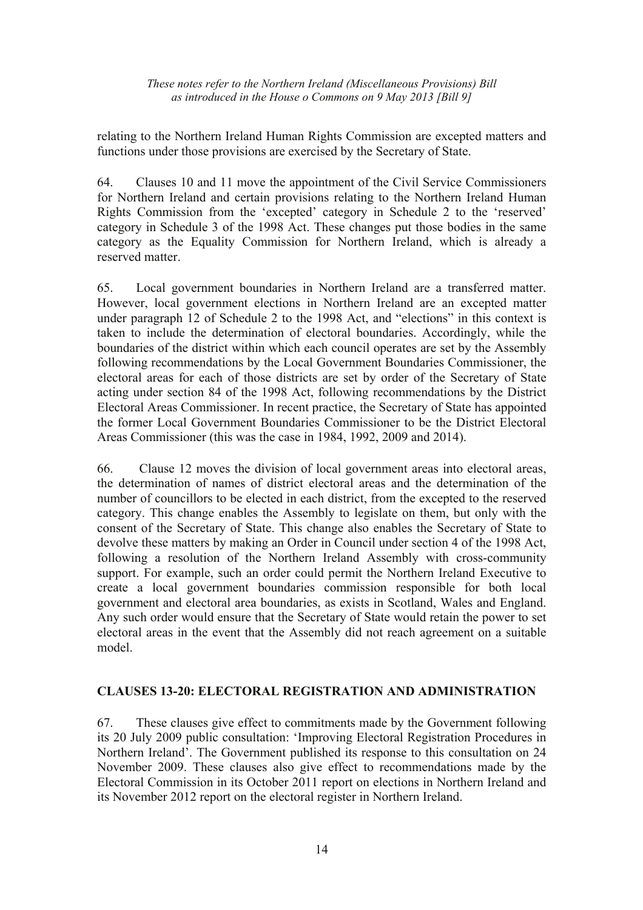relating to the Northern Ireland Human Rights Commission are excepted matters and functions under those provisions are exercised by the Secretary of State.

64. Clauses 10 and 11 move the appointment of the Civil Service Commissioners for Northern Ireland and certain provisions relating to the Northern Ireland Human Rights Commission from the 'excepted' category in Schedule 2 to the 'reserved' category in Schedule 3 of the 1998 Act. These changes put those bodies in the same category as the Equality Commission for Northern Ireland, which is already a reserved matter.

65. Local government boundaries in Northern Ireland are a transferred matter. However, local government elections in Northern Ireland are an excepted matter under paragraph 12 of Schedule 2 to the 1998 Act, and "elections" in this context is taken to include the determination of electoral boundaries. Accordingly, while the boundaries of the district within which each council operates are set by the Assembly following recommendations by the Local Government Boundaries Commissioner, the electoral areas for each of those districts are set by order of the Secretary of State acting under section 84 of the 1998 Act, following recommendations by the District Electoral Areas Commissioner. In recent practice, the Secretary of State has appointed the former Local Government Boundaries Commissioner to be the District Electoral Areas Commissioner (this was the case in 1984, 1992, 2009 and 2014).

66. Clause 12 moves the division of local government areas into electoral areas, the determination of names of district electoral areas and the determination of the number of councillors to be elected in each district, from the excepted to the reserved category. This change enables the Assembly to legislate on them, but only with the consent of the Secretary of State. This change also enables the Secretary of State to devolve these matters by making an Order in Council under section 4 of the 1998 Act, following a resolution of the Northern Ireland Assembly with cross-community support. For example, such an order could permit the Northern Ireland Executive to create a local government boundaries commission responsible for both local government and electoral area boundaries, as exists in Scotland, Wales and England. Any such order would ensure that the Secretary of State would retain the power to set electoral areas in the event that the Assembly did not reach agreement on a suitable model.

## **CLAUSES 13-20: ELECTORAL REGISTRATION AND ADMINISTRATION**

67. These clauses give effect to commitments made by the Government following its 20 July 2009 public consultation: 'Improving Electoral Registration Procedures in Northern Ireland'. The Government published its response to this consultation on 24 November 2009. These clauses also give effect to recommendations made by the Electoral Commission in its October 2011 report on elections in Northern Ireland and its November 2012 report on the electoral register in Northern Ireland.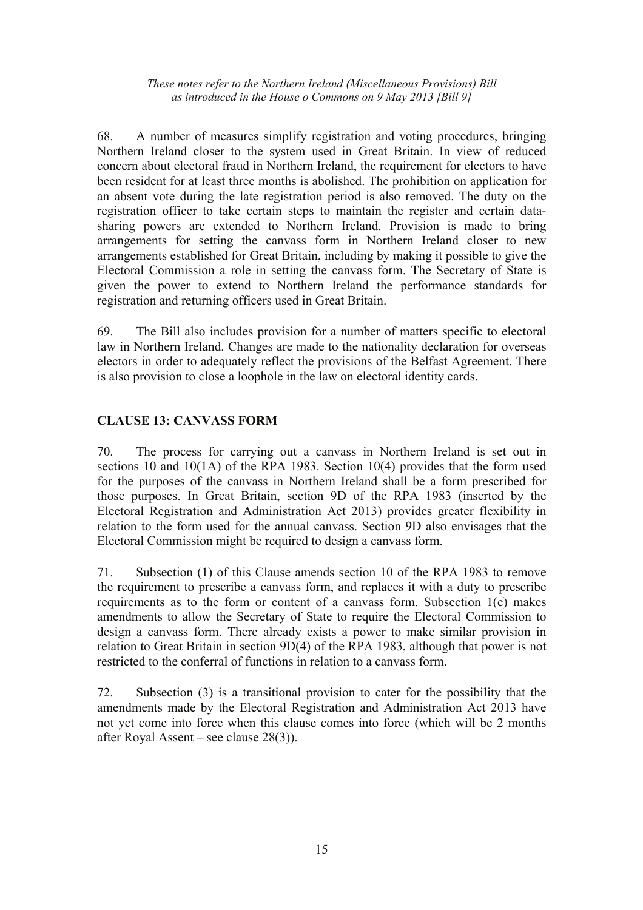68. A number of measures simplify registration and voting procedures, bringing Northern Ireland closer to the system used in Great Britain. In view of reduced concern about electoral fraud in Northern Ireland, the requirement for electors to have been resident for at least three months is abolished. The prohibition on application for an absent vote during the late registration period is also removed. The duty on the registration officer to take certain steps to maintain the register and certain datasharing powers are extended to Northern Ireland. Provision is made to bring arrangements for setting the canvass form in Northern Ireland closer to new arrangements established for Great Britain, including by making it possible to give the Electoral Commission a role in setting the canvass form. The Secretary of State is given the power to extend to Northern Ireland the performance standards for registration and returning officers used in Great Britain.

69. The Bill also includes provision for a number of matters specific to electoral law in Northern Ireland. Changes are made to the nationality declaration for overseas electors in order to adequately reflect the provisions of the Belfast Agreement. There is also provision to close a loophole in the law on electoral identity cards.

## **CLAUSE 13: CANVASS FORM**

70. The process for carrying out a canvass in Northern Ireland is set out in sections 10 and 10(1A) of the RPA 1983. Section 10(4) provides that the form used for the purposes of the canvass in Northern Ireland shall be a form prescribed for those purposes. In Great Britain, section 9D of the RPA 1983 (inserted by the Electoral Registration and Administration Act 2013) provides greater flexibility in relation to the form used for the annual canvass. Section 9D also envisages that the Electoral Commission might be required to design a canvass form.

71. Subsection (1) of this Clause amends section 10 of the RPA 1983 to remove the requirement to prescribe a canvass form, and replaces it with a duty to prescribe requirements as to the form or content of a canvass form. Subsection 1(c) makes amendments to allow the Secretary of State to require the Electoral Commission to design a canvass form. There already exists a power to make similar provision in relation to Great Britain in section 9D(4) of the RPA 1983, although that power is not restricted to the conferral of functions in relation to a canvass form.

72. Subsection (3) is a transitional provision to cater for the possibility that the amendments made by the Electoral Registration and Administration Act 2013 have not yet come into force when this clause comes into force (which will be 2 months after Royal Assent – see clause 28(3)).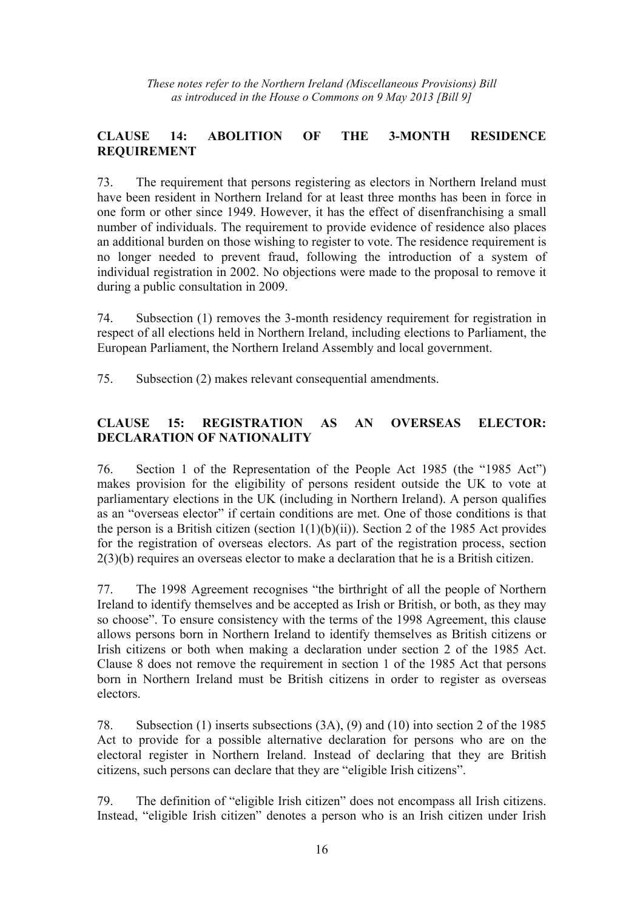# **CLAUSE 14: ABOLITION OF THE 3-MONTH RESIDENCE REQUIREMENT**

73. The requirement that persons registering as electors in Northern Ireland must have been resident in Northern Ireland for at least three months has been in force in one form or other since 1949. However, it has the effect of disenfranchising a small number of individuals. The requirement to provide evidence of residence also places an additional burden on those wishing to register to vote. The residence requirement is no longer needed to prevent fraud, following the introduction of a system of individual registration in 2002. No objections were made to the proposal to remove it during a public consultation in 2009.

74. Subsection (1) removes the 3-month residency requirement for registration in respect of all elections held in Northern Ireland, including elections to Parliament, the European Parliament, the Northern Ireland Assembly and local government.

75. Subsection (2) makes relevant consequential amendments.

# **CLAUSE 15: REGISTRATION AS AN OVERSEAS ELECTOR: DECLARATION OF NATIONALITY**

76. Section 1 of the Representation of the People Act 1985 (the "1985 Act") makes provision for the eligibility of persons resident outside the UK to vote at parliamentary elections in the UK (including in Northern Ireland). A person qualifies as an "overseas elector" if certain conditions are met. One of those conditions is that the person is a British citizen (section  $1(1)(b)(ii)$ ). Section 2 of the 1985 Act provides for the registration of overseas electors. As part of the registration process, section 2(3)(b) requires an overseas elector to make a declaration that he is a British citizen.

77. The 1998 Agreement recognises "the birthright of all the people of Northern Ireland to identify themselves and be accepted as Irish or British, or both, as they may so choose". To ensure consistency with the terms of the 1998 Agreement, this clause allows persons born in Northern Ireland to identify themselves as British citizens or Irish citizens or both when making a declaration under section 2 of the 1985 Act. Clause 8 does not remove the requirement in section 1 of the 1985 Act that persons born in Northern Ireland must be British citizens in order to register as overseas electors.

78. Subsection (1) inserts subsections (3A), (9) and (10) into section 2 of the 1985 Act to provide for a possible alternative declaration for persons who are on the electoral register in Northern Ireland. Instead of declaring that they are British citizens, such persons can declare that they are "eligible Irish citizens".

79. The definition of "eligible Irish citizen" does not encompass all Irish citizens. Instead, "eligible Irish citizen" denotes a person who is an Irish citizen under Irish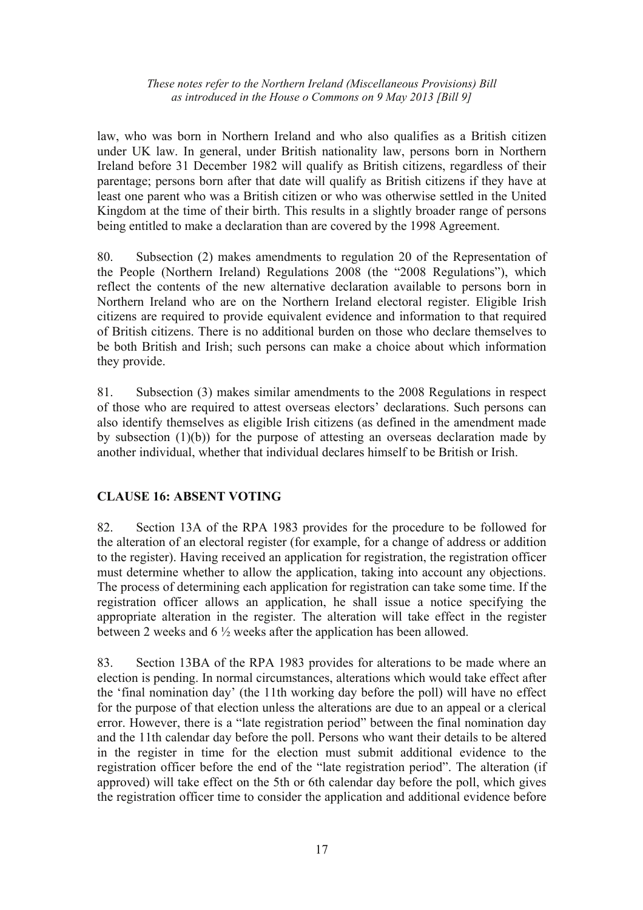law, who was born in Northern Ireland and who also qualifies as a British citizen under UK law. In general, under British nationality law, persons born in Northern Ireland before 31 December 1982 will qualify as British citizens, regardless of their parentage; persons born after that date will qualify as British citizens if they have at least one parent who was a British citizen or who was otherwise settled in the United Kingdom at the time of their birth. This results in a slightly broader range of persons being entitled to make a declaration than are covered by the 1998 Agreement.

80. Subsection (2) makes amendments to regulation 20 of the Representation of the People (Northern Ireland) Regulations 2008 (the "2008 Regulations"), which reflect the contents of the new alternative declaration available to persons born in Northern Ireland who are on the Northern Ireland electoral register. Eligible Irish citizens are required to provide equivalent evidence and information to that required of British citizens. There is no additional burden on those who declare themselves to be both British and Irish; such persons can make a choice about which information they provide.

81. Subsection (3) makes similar amendments to the 2008 Regulations in respect of those who are required to attest overseas electors' declarations. Such persons can also identify themselves as eligible Irish citizens (as defined in the amendment made by subsection (1)(b)) for the purpose of attesting an overseas declaration made by another individual, whether that individual declares himself to be British or Irish.

## **CLAUSE 16: ABSENT VOTING**

82. Section 13A of the RPA 1983 provides for the procedure to be followed for the alteration of an electoral register (for example, for a change of address or addition to the register). Having received an application for registration, the registration officer must determine whether to allow the application, taking into account any objections. The process of determining each application for registration can take some time. If the registration officer allows an application, he shall issue a notice specifying the appropriate alteration in the register. The alteration will take effect in the register between 2 weeks and 6 ½ weeks after the application has been allowed.

83. Section 13BA of the RPA 1983 provides for alterations to be made where an election is pending. In normal circumstances, alterations which would take effect after the 'final nomination day' (the 11th working day before the poll) will have no effect for the purpose of that election unless the alterations are due to an appeal or a clerical error. However, there is a "late registration period" between the final nomination day and the 11th calendar day before the poll. Persons who want their details to be altered in the register in time for the election must submit additional evidence to the registration officer before the end of the "late registration period". The alteration (if approved) will take effect on the 5th or 6th calendar day before the poll, which gives the registration officer time to consider the application and additional evidence before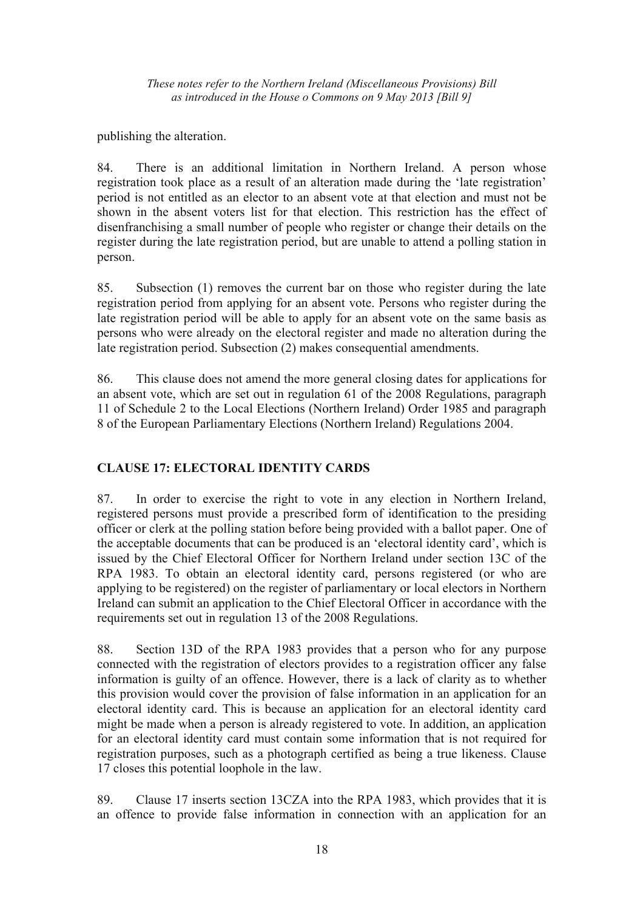publishing the alteration.

84. There is an additional limitation in Northern Ireland. A person whose registration took place as a result of an alteration made during the 'late registration' period is not entitled as an elector to an absent vote at that election and must not be shown in the absent voters list for that election. This restriction has the effect of disenfranchising a small number of people who register or change their details on the register during the late registration period, but are unable to attend a polling station in person.

85. Subsection (1) removes the current bar on those who register during the late registration period from applying for an absent vote. Persons who register during the late registration period will be able to apply for an absent vote on the same basis as persons who were already on the electoral register and made no alteration during the late registration period. Subsection (2) makes consequential amendments.

86. This clause does not amend the more general closing dates for applications for an absent vote, which are set out in regulation 61 of the 2008 Regulations, paragraph 11 of Schedule 2 to the Local Elections (Northern Ireland) Order 1985 and paragraph 8 of the European Parliamentary Elections (Northern Ireland) Regulations 2004.

# **CLAUSE 17: ELECTORAL IDENTITY CARDS**

87. In order to exercise the right to vote in any election in Northern Ireland, registered persons must provide a prescribed form of identification to the presiding officer or clerk at the polling station before being provided with a ballot paper. One of the acceptable documents that can be produced is an 'electoral identity card', which is issued by the Chief Electoral Officer for Northern Ireland under section 13C of the RPA 1983. To obtain an electoral identity card, persons registered (or who are applying to be registered) on the register of parliamentary or local electors in Northern Ireland can submit an application to the Chief Electoral Officer in accordance with the requirements set out in regulation 13 of the 2008 Regulations.

88. Section 13D of the RPA 1983 provides that a person who for any purpose connected with the registration of electors provides to a registration officer any false information is guilty of an offence. However, there is a lack of clarity as to whether this provision would cover the provision of false information in an application for an electoral identity card. This is because an application for an electoral identity card might be made when a person is already registered to vote. In addition, an application for an electoral identity card must contain some information that is not required for registration purposes, such as a photograph certified as being a true likeness. Clause 17 closes this potential loophole in the law.

89. Clause 17 inserts section 13CZA into the RPA 1983, which provides that it is an offence to provide false information in connection with an application for an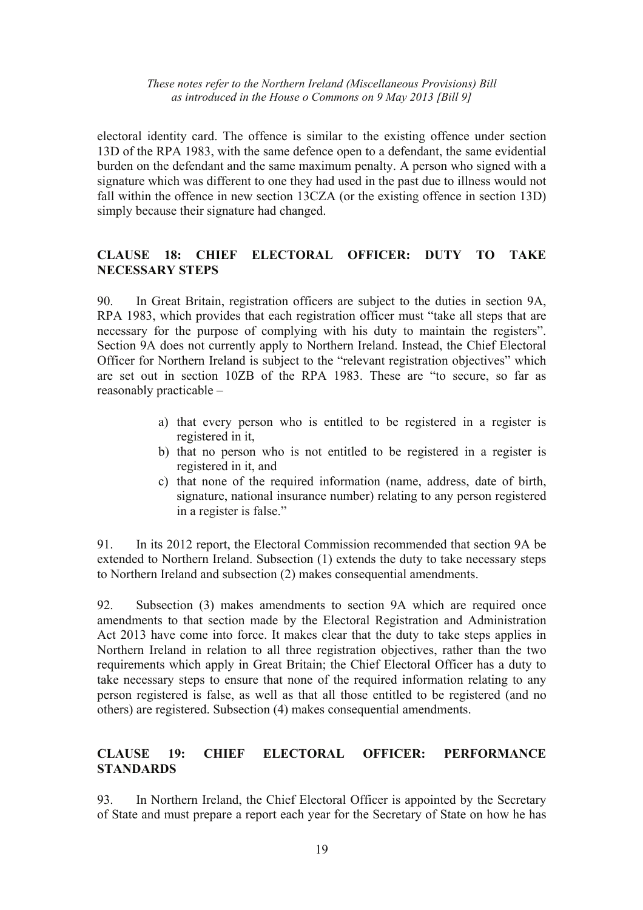electoral identity card. The offence is similar to the existing offence under section 13D of the RPA 1983, with the same defence open to a defendant, the same evidential burden on the defendant and the same maximum penalty. A person who signed with a signature which was different to one they had used in the past due to illness would not fall within the offence in new section 13CZA (or the existing offence in section 13D) simply because their signature had changed.

## **CLAUSE 18: CHIEF ELECTORAL OFFICER: DUTY TO TAKE NECESSARY STEPS**

90. In Great Britain, registration officers are subject to the duties in section 9A, RPA 1983, which provides that each registration officer must "take all steps that are necessary for the purpose of complying with his duty to maintain the registers". Section 9A does not currently apply to Northern Ireland. Instead, the Chief Electoral Officer for Northern Ireland is subject to the "relevant registration objectives" which are set out in section 10ZB of the RPA 1983. These are "to secure, so far as reasonably practicable –

- a) that every person who is entitled to be registered in a register is registered in it,
- b) that no person who is not entitled to be registered in a register is registered in it, and
- c) that none of the required information (name, address, date of birth, signature, national insurance number) relating to any person registered in a register is false."

91. In its 2012 report, the Electoral Commission recommended that section 9A be extended to Northern Ireland. Subsection (1) extends the duty to take necessary steps to Northern Ireland and subsection (2) makes consequential amendments.

92. Subsection (3) makes amendments to section 9A which are required once amendments to that section made by the Electoral Registration and Administration Act 2013 have come into force. It makes clear that the duty to take steps applies in Northern Ireland in relation to all three registration objectives, rather than the two requirements which apply in Great Britain; the Chief Electoral Officer has a duty to take necessary steps to ensure that none of the required information relating to any person registered is false, as well as that all those entitled to be registered (and no others) are registered. Subsection (4) makes consequential amendments.

## **CLAUSE 19: CHIEF ELECTORAL OFFICER: PERFORMANCE STANDARDS**

93. In Northern Ireland, the Chief Electoral Officer is appointed by the Secretary of State and must prepare a report each year for the Secretary of State on how he has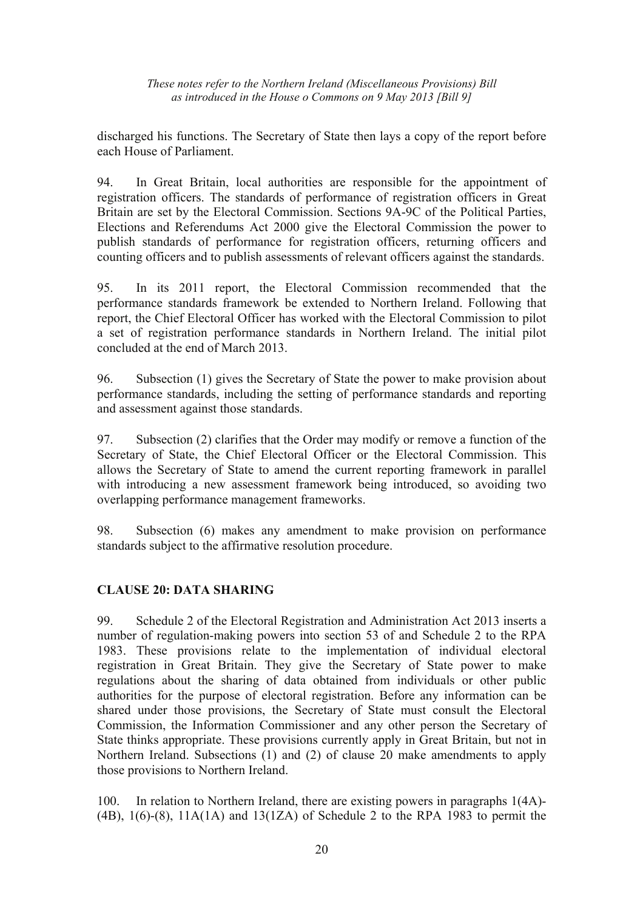discharged his functions. The Secretary of State then lays a copy of the report before each House of Parliament.

94. In Great Britain, local authorities are responsible for the appointment of registration officers. The standards of performance of registration officers in Great Britain are set by the Electoral Commission. Sections 9A-9C of the Political Parties, Elections and Referendums Act 2000 give the Electoral Commission the power to publish standards of performance for registration officers, returning officers and counting officers and to publish assessments of relevant officers against the standards.

95. In its 2011 report, the Electoral Commission recommended that the performance standards framework be extended to Northern Ireland. Following that report, the Chief Electoral Officer has worked with the Electoral Commission to pilot a set of registration performance standards in Northern Ireland. The initial pilot concluded at the end of March 2013.

96. Subsection (1) gives the Secretary of State the power to make provision about performance standards, including the setting of performance standards and reporting and assessment against those standards.

97. Subsection (2) clarifies that the Order may modify or remove a function of the Secretary of State, the Chief Electoral Officer or the Electoral Commission. This allows the Secretary of State to amend the current reporting framework in parallel with introducing a new assessment framework being introduced, so avoiding two overlapping performance management frameworks.

98. Subsection (6) makes any amendment to make provision on performance standards subject to the affirmative resolution procedure.

## **CLAUSE 20: DATA SHARING**

99. Schedule 2 of the Electoral Registration and Administration Act 2013 inserts a number of regulation-making powers into section 53 of and Schedule 2 to the RPA 1983. These provisions relate to the implementation of individual electoral registration in Great Britain. They give the Secretary of State power to make regulations about the sharing of data obtained from individuals or other public authorities for the purpose of electoral registration. Before any information can be shared under those provisions, the Secretary of State must consult the Electoral Commission, the Information Commissioner and any other person the Secretary of State thinks appropriate. These provisions currently apply in Great Britain, but not in Northern Ireland. Subsections (1) and (2) of clause 20 make amendments to apply those provisions to Northern Ireland.

100. In relation to Northern Ireland, there are existing powers in paragraphs 1(4A)- (4B),  $1(6)-(8)$ ,  $11A(1A)$  and  $13(1ZA)$  of Schedule 2 to the RPA 1983 to permit the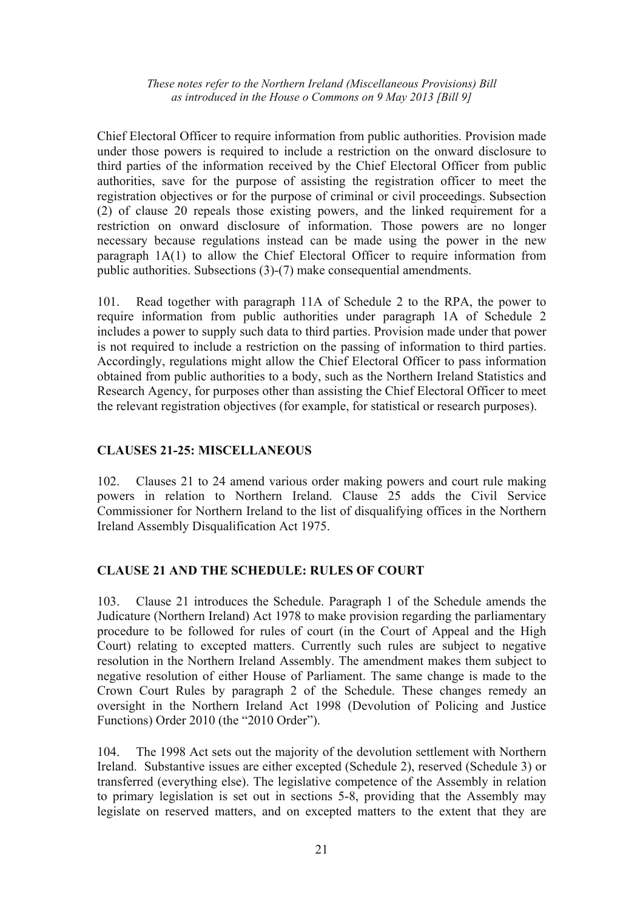Chief Electoral Officer to require information from public authorities. Provision made under those powers is required to include a restriction on the onward disclosure to third parties of the information received by the Chief Electoral Officer from public authorities, save for the purpose of assisting the registration officer to meet the registration objectives or for the purpose of criminal or civil proceedings. Subsection (2) of clause 20 repeals those existing powers, and the linked requirement for a restriction on onward disclosure of information. Those powers are no longer necessary because regulations instead can be made using the power in the new paragraph 1A(1) to allow the Chief Electoral Officer to require information from public authorities. Subsections (3)-(7) make consequential amendments.

101. Read together with paragraph 11A of Schedule 2 to the RPA, the power to require information from public authorities under paragraph 1A of Schedule 2 includes a power to supply such data to third parties. Provision made under that power is not required to include a restriction on the passing of information to third parties. Accordingly, regulations might allow the Chief Electoral Officer to pass information obtained from public authorities to a body, such as the Northern Ireland Statistics and Research Agency, for purposes other than assisting the Chief Electoral Officer to meet the relevant registration objectives (for example, for statistical or research purposes).

## **CLAUSES 21-25: MISCELLANEOUS**

102. Clauses 21 to 24 amend various order making powers and court rule making powers in relation to Northern Ireland. Clause 25 adds the Civil Service Commissioner for Northern Ireland to the list of disqualifying offices in the Northern Ireland Assembly Disqualification Act 1975.

#### **CLAUSE 21 AND THE SCHEDULE: RULES OF COURT**

103. Clause 21 introduces the Schedule. Paragraph 1 of the Schedule amends the Judicature (Northern Ireland) Act 1978 to make provision regarding the parliamentary procedure to be followed for rules of court (in the Court of Appeal and the High Court) relating to excepted matters. Currently such rules are subject to negative resolution in the Northern Ireland Assembly. The amendment makes them subject to negative resolution of either House of Parliament. The same change is made to the Crown Court Rules by paragraph 2 of the Schedule. These changes remedy an oversight in the Northern Ireland Act 1998 (Devolution of Policing and Justice Functions) Order 2010 (the "2010 Order").

104. The 1998 Act sets out the majority of the devolution settlement with Northern Ireland. Substantive issues are either excepted (Schedule 2), reserved (Schedule 3) or transferred (everything else). The legislative competence of the Assembly in relation to primary legislation is set out in sections 5-8, providing that the Assembly may legislate on reserved matters, and on excepted matters to the extent that they are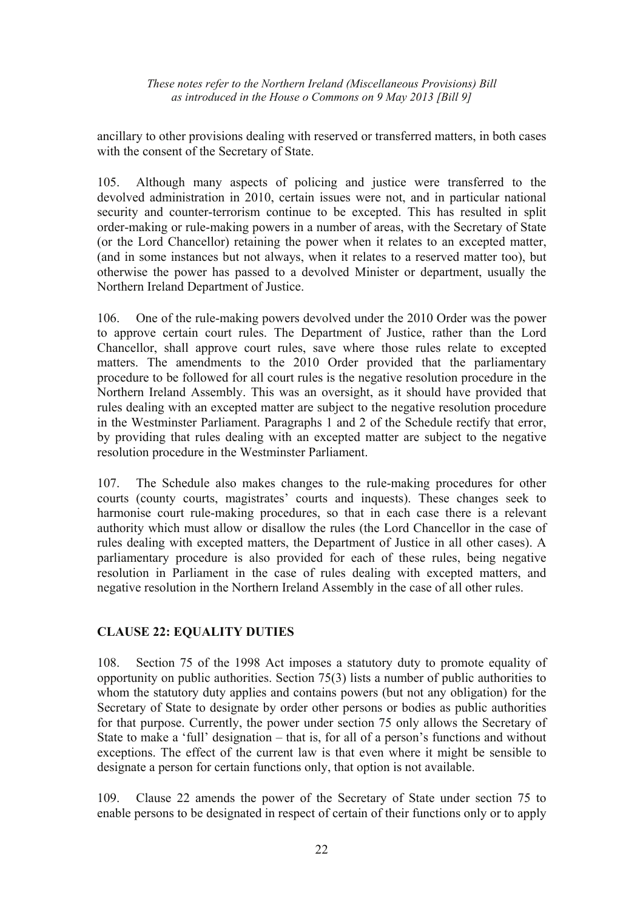ancillary to other provisions dealing with reserved or transferred matters, in both cases with the consent of the Secretary of State.

105. Although many aspects of policing and justice were transferred to the devolved administration in 2010, certain issues were not, and in particular national security and counter-terrorism continue to be excepted. This has resulted in split order-making or rule-making powers in a number of areas, with the Secretary of State (or the Lord Chancellor) retaining the power when it relates to an excepted matter, (and in some instances but not always, when it relates to a reserved matter too), but otherwise the power has passed to a devolved Minister or department, usually the Northern Ireland Department of Justice.

106. One of the rule-making powers devolved under the 2010 Order was the power to approve certain court rules. The Department of Justice, rather than the Lord Chancellor, shall approve court rules, save where those rules relate to excepted matters. The amendments to the 2010 Order provided that the parliamentary procedure to be followed for all court rules is the negative resolution procedure in the Northern Ireland Assembly. This was an oversight, as it should have provided that rules dealing with an excepted matter are subject to the negative resolution procedure in the Westminster Parliament. Paragraphs 1 and 2 of the Schedule rectify that error, by providing that rules dealing with an excepted matter are subject to the negative resolution procedure in the Westminster Parliament.

107. The Schedule also makes changes to the rule-making procedures for other courts (county courts, magistrates' courts and inquests). These changes seek to harmonise court rule-making procedures, so that in each case there is a relevant authority which must allow or disallow the rules (the Lord Chancellor in the case of rules dealing with excepted matters, the Department of Justice in all other cases). A parliamentary procedure is also provided for each of these rules, being negative resolution in Parliament in the case of rules dealing with excepted matters, and negative resolution in the Northern Ireland Assembly in the case of all other rules.

# **CLAUSE 22: EQUALITY DUTIES**

108. Section 75 of the 1998 Act imposes a statutory duty to promote equality of opportunity on public authorities. Section 75(3) lists a number of public authorities to whom the statutory duty applies and contains powers (but not any obligation) for the Secretary of State to designate by order other persons or bodies as public authorities for that purpose. Currently, the power under section 75 only allows the Secretary of State to make a 'full' designation – that is, for all of a person's functions and without exceptions. The effect of the current law is that even where it might be sensible to designate a person for certain functions only, that option is not available.

109. Clause 22 amends the power of the Secretary of State under section 75 to enable persons to be designated in respect of certain of their functions only or to apply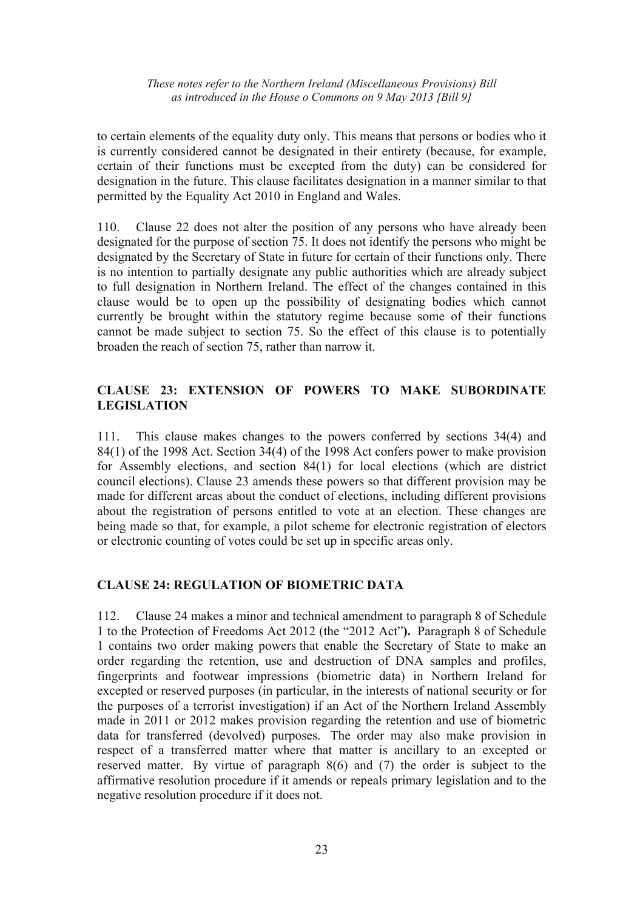to certain elements of the equality duty only. This means that persons or bodies who it is currently considered cannot be designated in their entirety (because, for example, certain of their functions must be excepted from the duty) can be considered for designation in the future. This clause facilitates designation in a manner similar to that permitted by the Equality Act 2010 in England and Wales.

110. Clause 22 does not alter the position of any persons who have already been designated for the purpose of section 75. It does not identify the persons who might be designated by the Secretary of State in future for certain of their functions only. There is no intention to partially designate any public authorities which are already subject to full designation in Northern Ireland. The effect of the changes contained in this clause would be to open up the possibility of designating bodies which cannot currently be brought within the statutory regime because some of their functions cannot be made subject to section 75. So the effect of this clause is to potentially broaden the reach of section 75, rather than narrow it.

## **CLAUSE 23: EXTENSION OF POWERS TO MAKE SUBORDINATE LEGISLATION**

111. This clause makes changes to the powers conferred by sections 34(4) and 84(1) of the 1998 Act. Section 34(4) of the 1998 Act confers power to make provision for Assembly elections, and section 84(1) for local elections (which are district council elections). Clause 23 amends these powers so that different provision may be made for different areas about the conduct of elections, including different provisions about the registration of persons entitled to vote at an election. These changes are being made so that, for example, a pilot scheme for electronic registration of electors or electronic counting of votes could be set up in specific areas only.

## **CLAUSE 24: REGULATION OF BIOMETRIC DATA**

112. Clause 24 makes a minor and technical amendment to paragraph 8 of Schedule 1 to the Protection of Freedoms Act 2012 (the "2012 Act"**).** Paragraph 8 of Schedule 1 contains two order making powers that enable the Secretary of State to make an order regarding the retention, use and destruction of DNA samples and profiles, fingerprints and footwear impressions (biometric data) in Northern Ireland for excepted or reserved purposes (in particular, in the interests of national security or for the purposes of a terrorist investigation) if an Act of the Northern Ireland Assembly made in 2011 or 2012 makes provision regarding the retention and use of biometric data for transferred (devolved) purposes. The order may also make provision in respect of a transferred matter where that matter is ancillary to an excepted or reserved matter. By virtue of paragraph 8(6) and (7) the order is subject to the affirmative resolution procedure if it amends or repeals primary legislation and to the negative resolution procedure if it does not.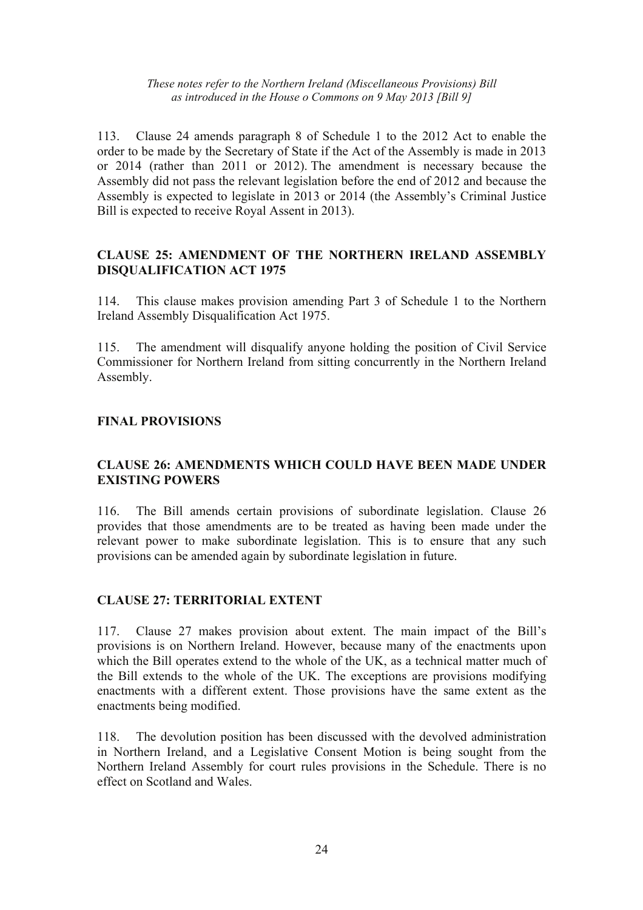113. Clause 24 amends paragraph 8 of Schedule 1 to the 2012 Act to enable the order to be made by the Secretary of State if the Act of the Assembly is made in 2013 or 2014 (rather than 2011 or 2012). The amendment is necessary because the Assembly did not pass the relevant legislation before the end of 2012 and because the Assembly is expected to legislate in 2013 or 2014 (the Assembly's Criminal Justice Bill is expected to receive Royal Assent in 2013).

## **CLAUSE 25: AMENDMENT OF THE NORTHERN IRELAND ASSEMBLY DISQUALIFICATION ACT 1975**

114. This clause makes provision amending Part 3 of Schedule 1 to the Northern Ireland Assembly Disqualification Act 1975.

115. The amendment will disqualify anyone holding the position of Civil Service Commissioner for Northern Ireland from sitting concurrently in the Northern Ireland Assembly.

## **FINAL PROVISIONS**

## **CLAUSE 26: AMENDMENTS WHICH COULD HAVE BEEN MADE UNDER EXISTING POWERS**

116. The Bill amends certain provisions of subordinate legislation. Clause 26 provides that those amendments are to be treated as having been made under the relevant power to make subordinate legislation. This is to ensure that any such provisions can be amended again by subordinate legislation in future.

#### **CLAUSE 27: TERRITORIAL EXTENT**

117. Clause 27 makes provision about extent. The main impact of the Bill's provisions is on Northern Ireland. However, because many of the enactments upon which the Bill operates extend to the whole of the UK, as a technical matter much of the Bill extends to the whole of the UK. The exceptions are provisions modifying enactments with a different extent. Those provisions have the same extent as the enactments being modified.

118. The devolution position has been discussed with the devolved administration in Northern Ireland, and a Legislative Consent Motion is being sought from the Northern Ireland Assembly for court rules provisions in the Schedule. There is no effect on Scotland and Wales.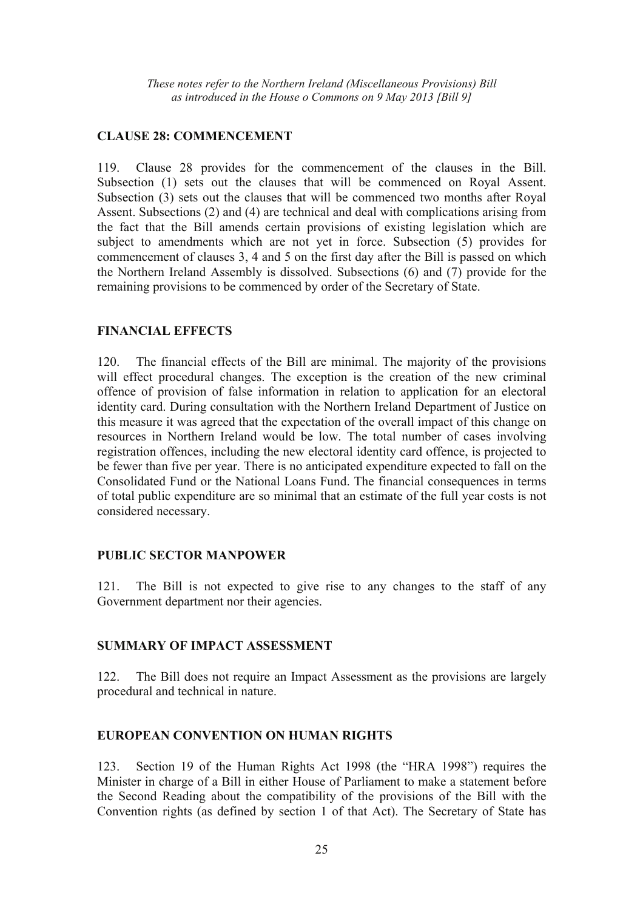## **CLAUSE 28: COMMENCEMENT**

119. Clause 28 provides for the commencement of the clauses in the Bill. Subsection (1) sets out the clauses that will be commenced on Royal Assent. Subsection (3) sets out the clauses that will be commenced two months after Royal Assent. Subsections (2) and (4) are technical and deal with complications arising from the fact that the Bill amends certain provisions of existing legislation which are subject to amendments which are not yet in force. Subsection (5) provides for commencement of clauses 3, 4 and 5 on the first day after the Bill is passed on which the Northern Ireland Assembly is dissolved. Subsections (6) and (7) provide for the remaining provisions to be commenced by order of the Secretary of State.

## **FINANCIAL EFFECTS**

120. The financial effects of the Bill are minimal. The majority of the provisions will effect procedural changes. The exception is the creation of the new criminal offence of provision of false information in relation to application for an electoral identity card. During consultation with the Northern Ireland Department of Justice on this measure it was agreed that the expectation of the overall impact of this change on resources in Northern Ireland would be low. The total number of cases involving registration offences, including the new electoral identity card offence, is projected to be fewer than five per year. There is no anticipated expenditure expected to fall on the Consolidated Fund or the National Loans Fund. The financial consequences in terms of total public expenditure are so minimal that an estimate of the full year costs is not considered necessary.

## **PUBLIC SECTOR MANPOWER**

121. The Bill is not expected to give rise to any changes to the staff of any Government department nor their agencies.

## **SUMMARY OF IMPACT ASSESSMENT**

122. The Bill does not require an Impact Assessment as the provisions are largely procedural and technical in nature.

## **EUROPEAN CONVENTION ON HUMAN RIGHTS**

123. Section 19 of the Human Rights Act 1998 (the "HRA 1998") requires the Minister in charge of a Bill in either House of Parliament to make a statement before the Second Reading about the compatibility of the provisions of the Bill with the Convention rights (as defined by section 1 of that Act). The Secretary of State has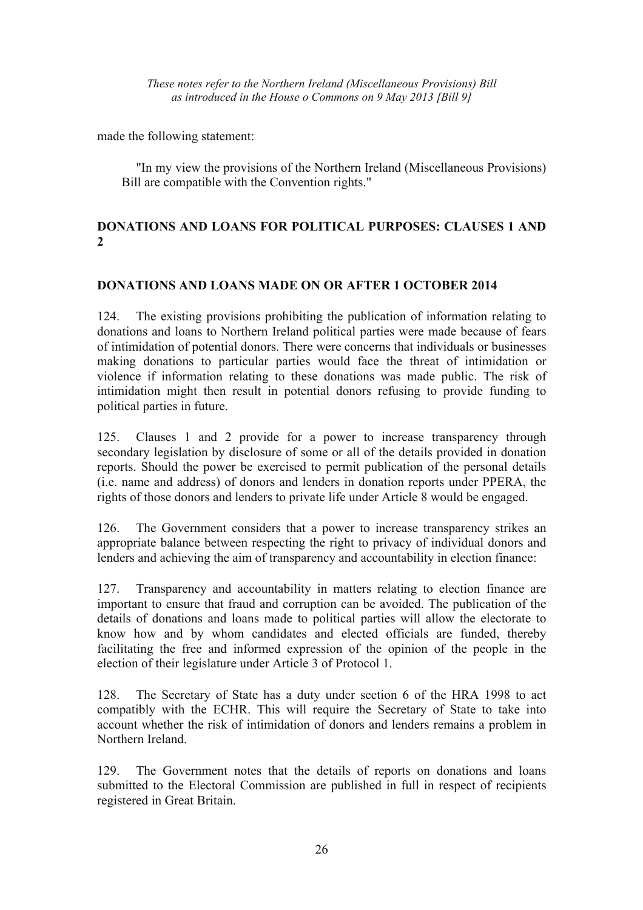made the following statement:

 "In my view the provisions of the Northern Ireland (Miscellaneous Provisions) Bill are compatible with the Convention rights."

# **DONATIONS AND LOANS FOR POLITICAL PURPOSES: CLAUSES 1 AND 2**

## **DONATIONS AND LOANS MADE ON OR AFTER 1 OCTOBER 2014**

124. The existing provisions prohibiting the publication of information relating to donations and loans to Northern Ireland political parties were made because of fears of intimidation of potential donors. There were concerns that individuals or businesses making donations to particular parties would face the threat of intimidation or violence if information relating to these donations was made public. The risk of intimidation might then result in potential donors refusing to provide funding to political parties in future.

125. Clauses 1 and 2 provide for a power to increase transparency through secondary legislation by disclosure of some or all of the details provided in donation reports. Should the power be exercised to permit publication of the personal details (i.e. name and address) of donors and lenders in donation reports under PPERA, the rights of those donors and lenders to private life under Article 8 would be engaged.

126. The Government considers that a power to increase transparency strikes an appropriate balance between respecting the right to privacy of individual donors and lenders and achieving the aim of transparency and accountability in election finance:

127. Transparency and accountability in matters relating to election finance are important to ensure that fraud and corruption can be avoided. The publication of the details of donations and loans made to political parties will allow the electorate to know how and by whom candidates and elected officials are funded, thereby facilitating the free and informed expression of the opinion of the people in the election of their legislature under Article 3 of Protocol 1.

128. The Secretary of State has a duty under section 6 of the HRA 1998 to act compatibly with the ECHR. This will require the Secretary of State to take into account whether the risk of intimidation of donors and lenders remains a problem in Northern Ireland.

129. The Government notes that the details of reports on donations and loans submitted to the Electoral Commission are published in full in respect of recipients registered in Great Britain.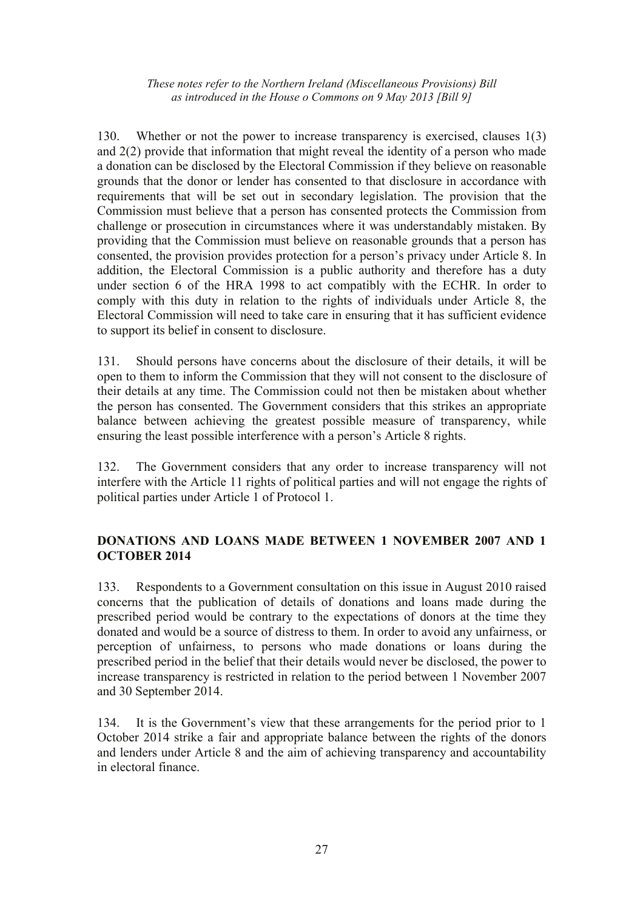130. Whether or not the power to increase transparency is exercised, clauses 1(3) and 2(2) provide that information that might reveal the identity of a person who made a donation can be disclosed by the Electoral Commission if they believe on reasonable grounds that the donor or lender has consented to that disclosure in accordance with requirements that will be set out in secondary legislation. The provision that the Commission must believe that a person has consented protects the Commission from challenge or prosecution in circumstances where it was understandably mistaken. By providing that the Commission must believe on reasonable grounds that a person has consented, the provision provides protection for a person's privacy under Article 8. In addition, the Electoral Commission is a public authority and therefore has a duty under section 6 of the HRA 1998 to act compatibly with the ECHR. In order to comply with this duty in relation to the rights of individuals under Article 8, the Electoral Commission will need to take care in ensuring that it has sufficient evidence to support its belief in consent to disclosure.

131. Should persons have concerns about the disclosure of their details, it will be open to them to inform the Commission that they will not consent to the disclosure of their details at any time. The Commission could not then be mistaken about whether the person has consented. The Government considers that this strikes an appropriate balance between achieving the greatest possible measure of transparency, while ensuring the least possible interference with a person's Article 8 rights.

132. The Government considers that any order to increase transparency will not interfere with the Article 11 rights of political parties and will not engage the rights of political parties under Article 1 of Protocol 1.

## **DONATIONS AND LOANS MADE BETWEEN 1 NOVEMBER 2007 AND 1 OCTOBER 2014**

133. Respondents to a Government consultation on this issue in August 2010 raised concerns that the publication of details of donations and loans made during the prescribed period would be contrary to the expectations of donors at the time they donated and would be a source of distress to them. In order to avoid any unfairness, or perception of unfairness, to persons who made donations or loans during the prescribed period in the belief that their details would never be disclosed, the power to increase transparency is restricted in relation to the period between 1 November 2007 and 30 September 2014.

134. It is the Government's view that these arrangements for the period prior to 1 October 2014 strike a fair and appropriate balance between the rights of the donors and lenders under Article 8 and the aim of achieving transparency and accountability in electoral finance.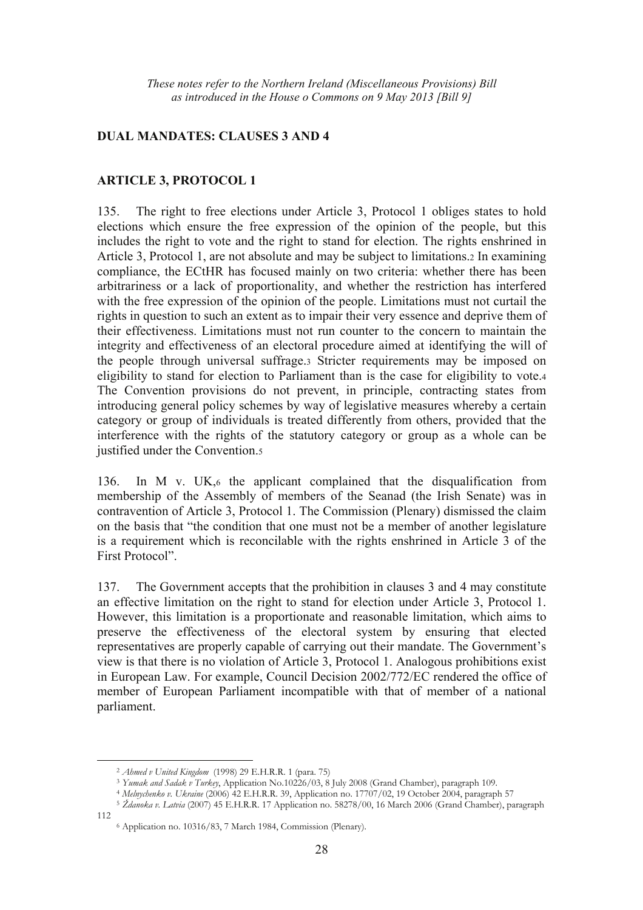## **DUAL MANDATES: CLAUSES 3 AND 4**

## **ARTICLE 3, PROTOCOL 1**

135. The right to free elections under Article 3, Protocol 1 obliges states to hold elections which ensure the free expression of the opinion of the people, but this includes the right to vote and the right to stand for election. The rights enshrined in Article 3, Protocol 1, are not absolute and may be subject to limitations.2 In examining compliance, the ECtHR has focused mainly on two criteria: whether there has been arbitrariness or a lack of proportionality, and whether the restriction has interfered with the free expression of the opinion of the people. Limitations must not curtail the rights in question to such an extent as to impair their very essence and deprive them of their effectiveness. Limitations must not run counter to the concern to maintain the integrity and effectiveness of an electoral procedure aimed at identifying the will of the people through universal suffrage.3 Stricter requirements may be imposed on eligibility to stand for election to Parliament than is the case for eligibility to vote.4 The Convention provisions do not prevent, in principle, contracting states from introducing general policy schemes by way of legislative measures whereby a certain category or group of individuals is treated differently from others, provided that the interference with the rights of the statutory category or group as a whole can be justified under the Convention.5

136. In M v. UK,6 the applicant complained that the disqualification from membership of the Assembly of members of the Seanad (the Irish Senate) was in contravention of Article 3, Protocol 1. The Commission (Plenary) dismissed the claim on the basis that "the condition that one must not be a member of another legislature is a requirement which is reconcilable with the rights enshrined in Article 3 of the First Protocol".

137. The Government accepts that the prohibition in clauses 3 and 4 may constitute an effective limitation on the right to stand for election under Article 3, Protocol 1. However, this limitation is a proportionate and reasonable limitation, which aims to preserve the effectiveness of the electoral system by ensuring that elected representatives are properly capable of carrying out their mandate. The Government's view is that there is no violation of Article 3, Protocol 1. Analogous prohibitions exist in European Law. For example, Council Decision 2002/772/EC rendered the office of member of European Parliament incompatible with that of member of a national parliament.

 $\overline{a}$ 

<sup>&</sup>lt;sup>2</sup> Ahmed v United Kingdom (1998) 29 E.H.R.R. 1 (para. 75)<br><sup>3</sup> Yumak and Sadak v Turkey, Application No.10226/03, 8 July 2008 (Grand Chamber), paragraph 109.<br><sup>4</sup> Melnychenko v. Ukraine (2006) 42 E.H.R.R. 39, Application no

<sup>112 6</sup> Application no. 10316/83, 7 March 1984, Commission (Plenary).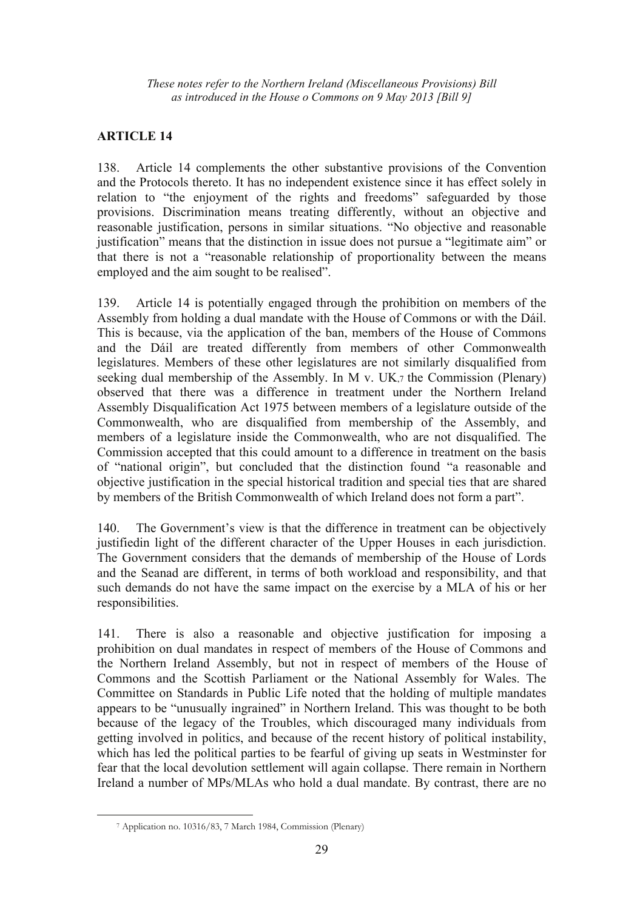# **ARTICLE 14**

138. Article 14 complements the other substantive provisions of the Convention and the Protocols thereto. It has no independent existence since it has effect solely in relation to "the enjoyment of the rights and freedoms" safeguarded by those provisions. Discrimination means treating differently, without an objective and reasonable justification, persons in similar situations. "No objective and reasonable justification" means that the distinction in issue does not pursue a "legitimate aim" or that there is not a "reasonable relationship of proportionality between the means employed and the aim sought to be realised".

139. Article 14 is potentially engaged through the prohibition on members of the Assembly from holding a dual mandate with the House of Commons or with the Dáil. This is because, via the application of the ban, members of the House of Commons and the Dáil are treated differently from members of other Commonwealth legislatures. Members of these other legislatures are not similarly disqualified from seeking dual membership of the Assembly. In M v. UK,7 the Commission (Plenary) observed that there was a difference in treatment under the Northern Ireland Assembly Disqualification Act 1975 between members of a legislature outside of the Commonwealth, who are disqualified from membership of the Assembly, and members of a legislature inside the Commonwealth, who are not disqualified. The Commission accepted that this could amount to a difference in treatment on the basis of "national origin", but concluded that the distinction found "a reasonable and objective justification in the special historical tradition and special ties that are shared by members of the British Commonwealth of which Ireland does not form a part".

140. The Government's view is that the difference in treatment can be objectively justifiedin light of the different character of the Upper Houses in each jurisdiction. The Government considers that the demands of membership of the House of Lords and the Seanad are different, in terms of both workload and responsibility, and that such demands do not have the same impact on the exercise by a MLA of his or her responsibilities.

141. There is also a reasonable and objective justification for imposing a prohibition on dual mandates in respect of members of the House of Commons and the Northern Ireland Assembly, but not in respect of members of the House of Commons and the Scottish Parliament or the National Assembly for Wales. The Committee on Standards in Public Life noted that the holding of multiple mandates appears to be "unusually ingrained" in Northern Ireland. This was thought to be both because of the legacy of the Troubles, which discouraged many individuals from getting involved in politics, and because of the recent history of political instability, which has led the political parties to be fearful of giving up seats in Westminster for fear that the local devolution settlement will again collapse. There remain in Northern Ireland a number of MPs/MLAs who hold a dual mandate. By contrast, there are no

 $\overline{a}$ 

<sup>7</sup> Application no. 10316/83, 7 March 1984, Commission (Plenary)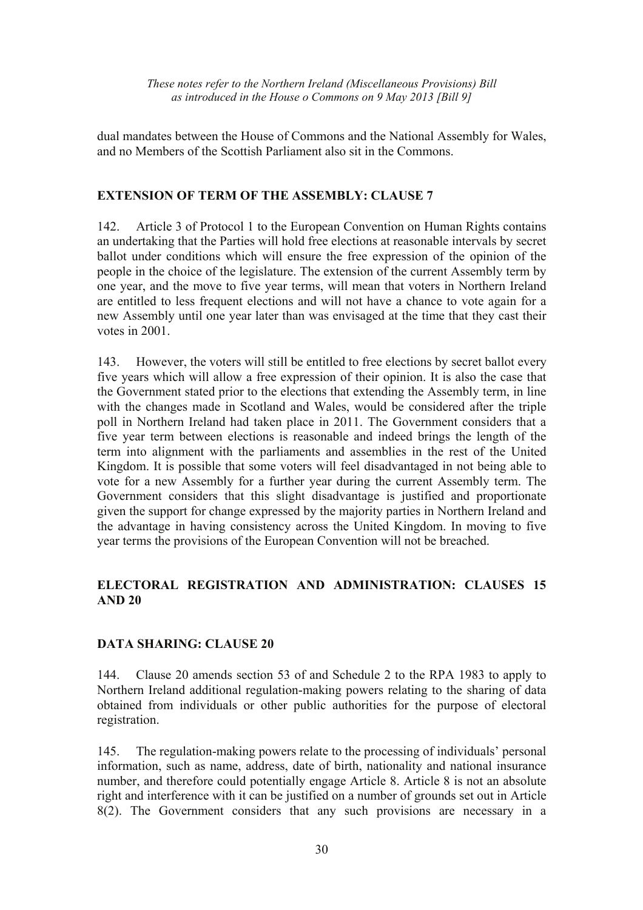dual mandates between the House of Commons and the National Assembly for Wales, and no Members of the Scottish Parliament also sit in the Commons.

## **EXTENSION OF TERM OF THE ASSEMBLY: CLAUSE 7**

142. Article 3 of Protocol 1 to the European Convention on Human Rights contains an undertaking that the Parties will hold free elections at reasonable intervals by secret ballot under conditions which will ensure the free expression of the opinion of the people in the choice of the legislature. The extension of the current Assembly term by one year, and the move to five year terms, will mean that voters in Northern Ireland are entitled to less frequent elections and will not have a chance to vote again for a new Assembly until one year later than was envisaged at the time that they cast their votes in 2001.

143. However, the voters will still be entitled to free elections by secret ballot every five years which will allow a free expression of their opinion. It is also the case that the Government stated prior to the elections that extending the Assembly term, in line with the changes made in Scotland and Wales, would be considered after the triple poll in Northern Ireland had taken place in 2011. The Government considers that a five year term between elections is reasonable and indeed brings the length of the term into alignment with the parliaments and assemblies in the rest of the United Kingdom. It is possible that some voters will feel disadvantaged in not being able to vote for a new Assembly for a further year during the current Assembly term. The Government considers that this slight disadvantage is justified and proportionate given the support for change expressed by the majority parties in Northern Ireland and the advantage in having consistency across the United Kingdom. In moving to five year terms the provisions of the European Convention will not be breached.

# **ELECTORAL REGISTRATION AND ADMINISTRATION: CLAUSES 15 AND 20**

# **DATA SHARING: CLAUSE 20**

144. Clause 20 amends section 53 of and Schedule 2 to the RPA 1983 to apply to Northern Ireland additional regulation-making powers relating to the sharing of data obtained from individuals or other public authorities for the purpose of electoral registration.

145. The regulation-making powers relate to the processing of individuals' personal information, such as name, address, date of birth, nationality and national insurance number, and therefore could potentially engage Article 8. Article 8 is not an absolute right and interference with it can be justified on a number of grounds set out in Article 8(2). The Government considers that any such provisions are necessary in a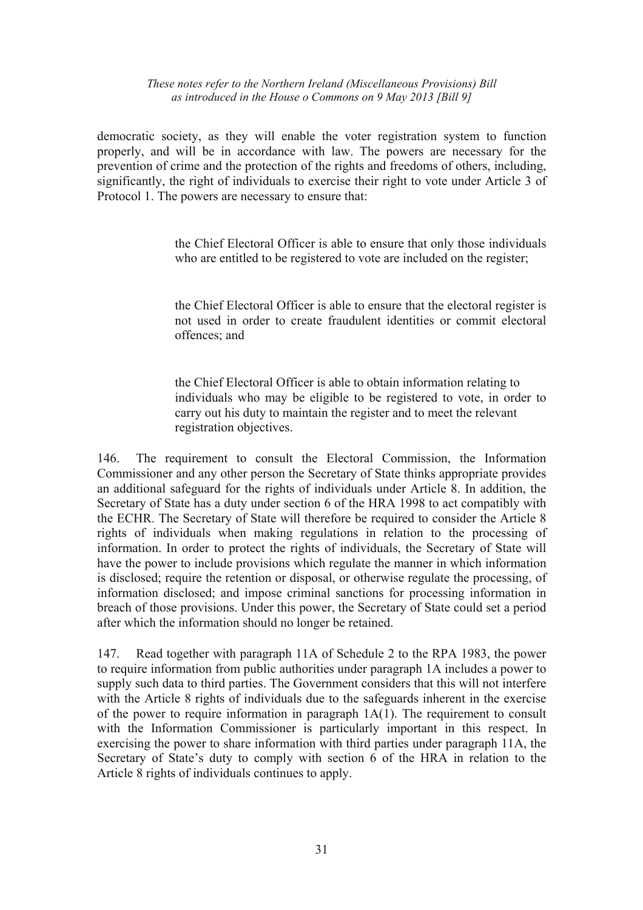democratic society, as they will enable the voter registration system to function properly, and will be in accordance with law. The powers are necessary for the prevention of crime and the protection of the rights and freedoms of others, including, significantly, the right of individuals to exercise their right to vote under Article 3 of Protocol 1. The powers are necessary to ensure that:

> the Chief Electoral Officer is able to ensure that only those individuals who are entitled to be registered to vote are included on the register;

> the Chief Electoral Officer is able to ensure that the electoral register is not used in order to create fraudulent identities or commit electoral offences; and

> the Chief Electoral Officer is able to obtain information relating to individuals who may be eligible to be registered to vote, in order to carry out his duty to maintain the register and to meet the relevant registration objectives.

146. The requirement to consult the Electoral Commission, the Information Commissioner and any other person the Secretary of State thinks appropriate provides an additional safeguard for the rights of individuals under Article 8. In addition, the Secretary of State has a duty under section 6 of the HRA 1998 to act compatibly with the ECHR. The Secretary of State will therefore be required to consider the Article 8 rights of individuals when making regulations in relation to the processing of information. In order to protect the rights of individuals, the Secretary of State will have the power to include provisions which regulate the manner in which information is disclosed; require the retention or disposal, or otherwise regulate the processing, of information disclosed; and impose criminal sanctions for processing information in breach of those provisions. Under this power, the Secretary of State could set a period after which the information should no longer be retained.

147. Read together with paragraph 11A of Schedule 2 to the RPA 1983, the power to require information from public authorities under paragraph 1A includes a power to supply such data to third parties. The Government considers that this will not interfere with the Article 8 rights of individuals due to the safeguards inherent in the exercise of the power to require information in paragraph 1A(1). The requirement to consult with the Information Commissioner is particularly important in this respect. In exercising the power to share information with third parties under paragraph 11A, the Secretary of State's duty to comply with section 6 of the HRA in relation to the Article 8 rights of individuals continues to apply.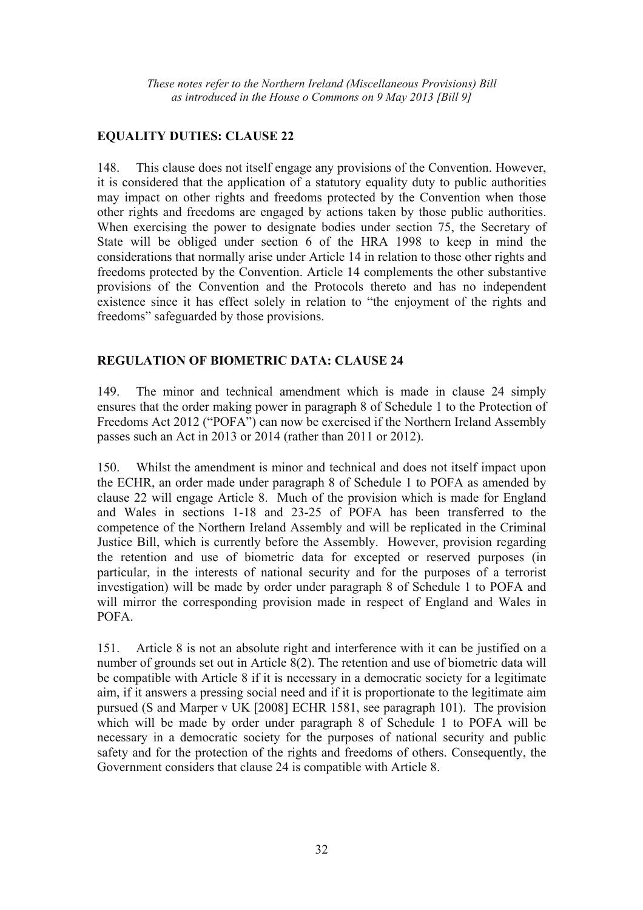## **EQUALITY DUTIES: CLAUSE 22**

148. This clause does not itself engage any provisions of the Convention. However, it is considered that the application of a statutory equality duty to public authorities may impact on other rights and freedoms protected by the Convention when those other rights and freedoms are engaged by actions taken by those public authorities. When exercising the power to designate bodies under section 75, the Secretary of State will be obliged under section 6 of the HRA 1998 to keep in mind the considerations that normally arise under Article 14 in relation to those other rights and freedoms protected by the Convention. Article 14 complements the other substantive provisions of the Convention and the Protocols thereto and has no independent existence since it has effect solely in relation to "the enjoyment of the rights and freedoms" safeguarded by those provisions.

## **REGULATION OF BIOMETRIC DATA: CLAUSE 24**

149. The minor and technical amendment which is made in clause 24 simply ensures that the order making power in paragraph 8 of Schedule 1 to the Protection of Freedoms Act 2012 ("POFA") can now be exercised if the Northern Ireland Assembly passes such an Act in 2013 or 2014 (rather than 2011 or 2012).

150. Whilst the amendment is minor and technical and does not itself impact upon the ECHR, an order made under paragraph 8 of Schedule 1 to POFA as amended by clause 22 will engage Article 8. Much of the provision which is made for England and Wales in sections 1-18 and 23-25 of POFA has been transferred to the competence of the Northern Ireland Assembly and will be replicated in the Criminal Justice Bill, which is currently before the Assembly. However, provision regarding the retention and use of biometric data for excepted or reserved purposes (in particular, in the interests of national security and for the purposes of a terrorist investigation) will be made by order under paragraph 8 of Schedule 1 to POFA and will mirror the corresponding provision made in respect of England and Wales in POFA.

151. Article 8 is not an absolute right and interference with it can be justified on a number of grounds set out in Article 8(2). The retention and use of biometric data will be compatible with Article 8 if it is necessary in a democratic society for a legitimate aim, if it answers a pressing social need and if it is proportionate to the legitimate aim pursued (S and Marper v UK [2008] ECHR 1581, see paragraph 101). The provision which will be made by order under paragraph 8 of Schedule 1 to POFA will be necessary in a democratic society for the purposes of national security and public safety and for the protection of the rights and freedoms of others. Consequently, the Government considers that clause 24 is compatible with Article 8.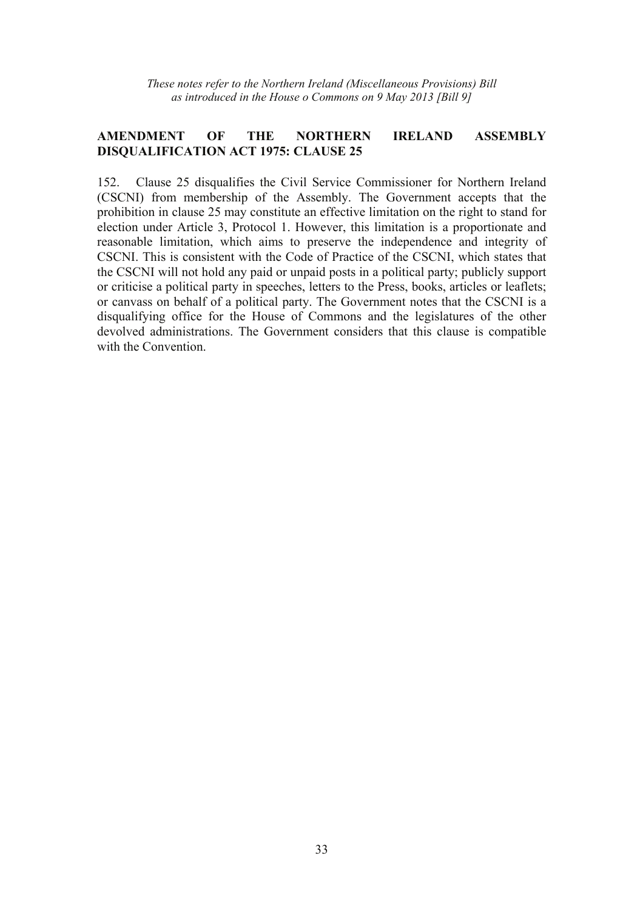## **AMENDMENT OF THE NORTHERN IRELAND ASSEMBLY DISQUALIFICATION ACT 1975: CLAUSE 25**

152. Clause 25 disqualifies the Civil Service Commissioner for Northern Ireland (CSCNI) from membership of the Assembly. The Government accepts that the prohibition in clause 25 may constitute an effective limitation on the right to stand for election under Article 3, Protocol 1. However, this limitation is a proportionate and reasonable limitation, which aims to preserve the independence and integrity of CSCNI. This is consistent with the Code of Practice of the CSCNI, which states that the CSCNI will not hold any paid or unpaid posts in a political party; publicly support or criticise a political party in speeches, letters to the Press, books, articles or leaflets; or canvass on behalf of a political party. The Government notes that the CSCNI is a disqualifying office for the House of Commons and the legislatures of the other devolved administrations. The Government considers that this clause is compatible with the Convention